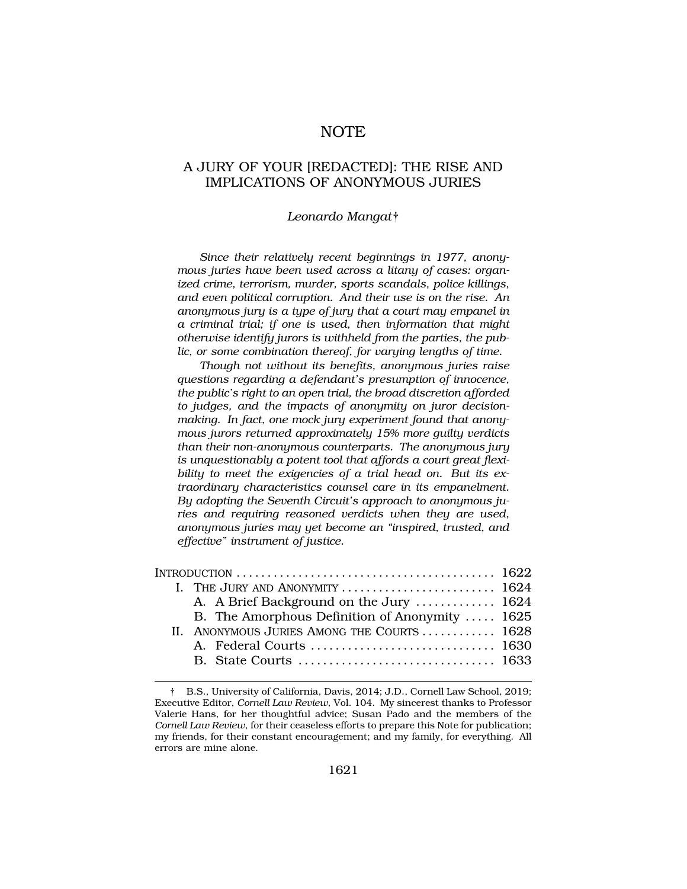# NOTE

# A JURY OF YOUR [REDACTED]: THE RISE AND IMPLICATIONS OF ANONYMOUS JURIES

### *Leonardo Mangat*†

*Since their relatively recent beginnings in 1977, anonymous juries have been used across a litany of cases: organized crime, terrorism, murder, sports scandals, police killings, and even political corruption. And their use is on the rise. An anonymous jury is a type of jury that a court may empanel in a criminal trial; if one is used, then information that might otherwise identify jurors is withheld from the parties, the public, or some combination thereof, for varying lengths of time.* 

*Though not without its benefits, anonymous juries raise questions regarding a defendant's presumption of innocence, the public's right to an open trial, the broad discretion afforded to judges, and the impacts of anonymity on juror decisionmaking. In fact, one mock jury experiment found that anonymous jurors returned approximately 15% more guilty verdicts than their non-anonymous counterparts. The anonymous jury is unquestionably a potent tool that affords a court great flexibility to meet the exigencies of a trial head on. But its extraordinary characteristics counsel care in its empanelment. By adopting the Seventh Circuit's approach to anonymous juries and requiring reasoned verdicts when they are used, anonymous juries may yet become an "inspired, trusted, and effective" instrument of justice.* 

| INTRODUCTION $\ldots \ldots \ldots \ldots \ldots \ldots \ldots \ldots \ldots \ldots \ldots \ldots \ldots$ 1622 |                                                                                          |  |
|----------------------------------------------------------------------------------------------------------------|------------------------------------------------------------------------------------------|--|
|                                                                                                                | I. THE JURY AND ANONYMITY $\ldots \ldots \ldots \ldots \ldots \ldots \ldots \ldots$ 1624 |  |
|                                                                                                                | A. A Brief Background on the Jury  1624                                                  |  |
|                                                                                                                | B. The Amorphous Definition of Anonymity  1625                                           |  |
|                                                                                                                | II. ANONYMOUS JURIES AMONG THE COURTS  1628                                              |  |
|                                                                                                                |                                                                                          |  |
|                                                                                                                |                                                                                          |  |

<sup>†</sup> B.S., University of California, Davis, 2014; J.D., Cornell Law School, 2019; Executive Editor, *Cornell Law Review*, Vol. 104. My sincerest thanks to Professor Valerie Hans, for her thoughtful advice; Susan Pado and the members of the *Cornell Law Review*, for their ceaseless efforts to prepare this Note for publication; my friends, for their constant encouragement; and my family, for everything. All errors are mine alone.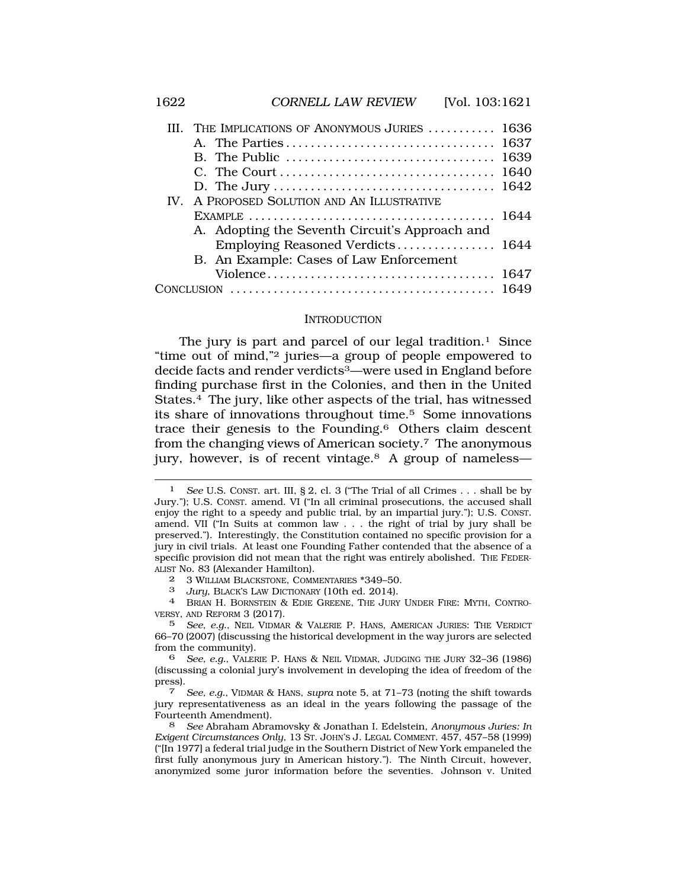|  | III. THE IMPLICATIONS OF ANONYMOUS JURIES  1636 |  |
|--|-------------------------------------------------|--|
|  |                                                 |  |
|  |                                                 |  |
|  |                                                 |  |
|  |                                                 |  |
|  | IV. A PROPOSED SOLUTION AND AN ILLUSTRATIVE     |  |
|  |                                                 |  |
|  | A. Adopting the Seventh Circuit's Approach and  |  |
|  |                                                 |  |
|  | B. An Example: Cases of Law Enforcement         |  |
|  |                                                 |  |
|  |                                                 |  |
|  |                                                 |  |

#### INTRODUCTION

The jury is part and parcel of our legal tradition.<sup>1</sup> Since "time out of mind,"2 juries—a group of people empowered to decide facts and render verdicts3—were used in England before finding purchase first in the Colonies, and then in the United States.4 The jury, like other aspects of the trial, has witnessed its share of innovations throughout time.5 Some innovations trace their genesis to the Founding.6 Others claim descent from the changing views of American society.7 The anonymous jury, however, is of recent vintage.8 A group of nameless—

<sup>1</sup> *See* U.S. CONST. art. III, § 2, cl. 3 ("The Trial of all Crimes . . . shall be by Jury."); U.S. CONST. amend. VI ("In all criminal prosecutions, the accused shall enjoy the right to a speedy and public trial, by an impartial jury."); U.S. CONST. amend. VII ("In Suits at common law . . . the right of trial by jury shall be preserved."). Interestingly, the Constitution contained no specific provision for a jury in civil trials. At least one Founding Father contended that the absence of a specific provision did not mean that the right was entirely abolished. THE FEDER-ALIST No. 83 (Alexander Hamilton).

<sup>2 3</sup> WILLIAM BLACKSTONE, COMMENTARIES \*349–50.

<sup>3</sup>*Jury*, BLACK'S LAW DICTIONARY (10th ed. 2014). 4 BRIAN H. BORNSTEIN & EDIE GREENE, THE JURY UNDER FIRE: MYTH, CONTRO-VERSY, AND REFORM 3 (2017).

<sup>5</sup> *See, e.g.*, NEIL VIDMAR & VALERIE P. HANS, AMERICAN JURIES: THE VERDICT 66–70 (2007) (discussing the historical development in the way jurors are selected from the community).

<sup>6</sup> *See, e.g.*, VALERIE P. HANS & NEIL VIDMAR, JUDGING THE JURY 32–36 (1986) (discussing a colonial jury's involvement in developing the idea of freedom of the press). 7 *See, e.g.*, VIDMAR & HANS, *supra* note 5, at 71–73 (noting the shift towards

jury representativeness as an ideal in the years following the passage of the Fourteenth Amendment).

<sup>8</sup> *See* Abraham Abramovsky & Jonathan I. Edelstein, *Anonymous Juries: In Exigent Circumstances Only*, 13 ST. JOHN'S J. LEGAL COMMENT. 457, 457–58 (1999) ("[In 1977] a federal trial judge in the Southern District of New York empaneled the first fully anonymous jury in American history."). The Ninth Circuit, however, anonymized some juror information before the seventies. Johnson v. United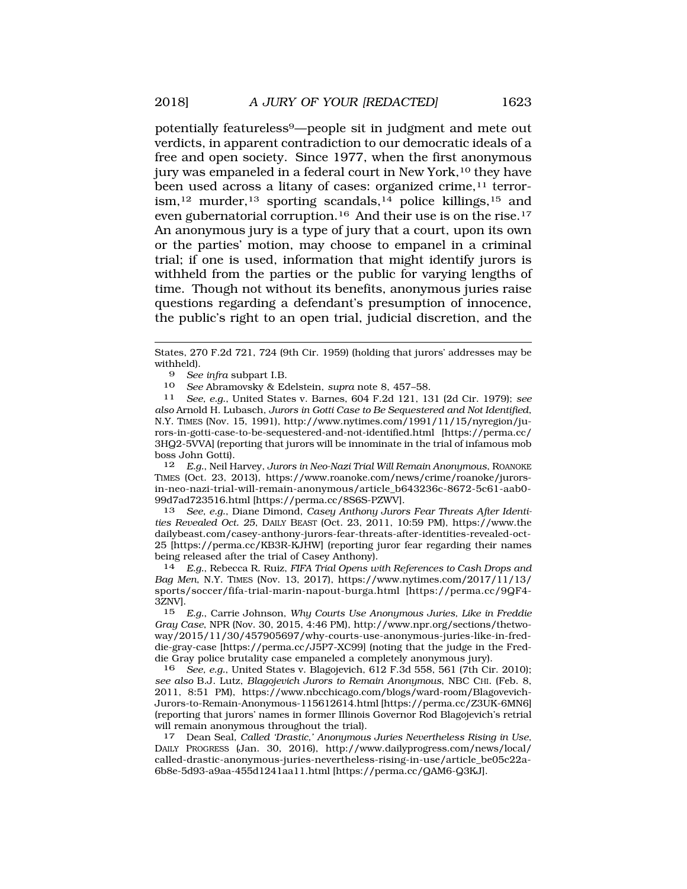been used across a litany of cases: organized crime,<sup>11</sup> terror $i$ sm,<sup>12</sup> murder,<sup>13</sup> sporting scandals,<sup>14</sup> police killings,<sup>15</sup> and even gubernatorial corruption.16 And their use is on the rise.17 An anonymous jury is a type of jury that a court, upon its own or the parties' motion, may choose to empanel in a criminal trial; if one is used, information that might identify jurors is withheld from the parties or the public for varying lengths of time. Though not without its benefits, anonymous juries raise questions regarding a defendant's presumption of innocence, the public's right to an open trial, judicial discretion, and the

<sup>10</sup>*See* Abramovsky & Edelstein, *supra* note 8, 457–58. 11 *See, e.g.*, United States v. Barnes, 604 F.2d 121, 131 (2d Cir. 1979); *see also* Arnold H. Lubasch, *Jurors in Gotti Case to Be Sequestered and Not Identified*, N.Y. TIMES (Nov. 15, 1991), http://www.nytimes.com/1991/11/15/nyregion/jurors-in-gotti-case-to-be-sequestered-and-not-identified.html [https://perma.cc/ 3HQ2-5VVA] (reporting that jurors will be innominate in the trial of infamous mob boss John Gotti).

12 *E.g.*, Neil Harvey, *Jurors in Neo-Nazi Trial Will Remain Anonymous*, ROANOKE TIMES (Oct. 23, 2013), https://www.roanoke.com/news/crime/roanoke/jurorsin-neo-nazi-trial-will-remain-anonymous/article\_b643236c-8672-5c61-aab0- 99d7ad723516.html [https://perma.cc/8S6S-PZWV].

13 *See, e.g.*, Diane Dimond, *Casey Anthony Jurors Fear Threats After Identities Revealed Oct. 25*, DAILY BEAST (Oct. 23, 2011, 10:59 PM), https://www.the dailybeast.com/casey-anthony-jurors-fear-threats-after-identities-revealed-oct-25 [https://perma.cc/KB3R-KJHW] (reporting juror fear regarding their names being released after the trial of Casey Anthony).

14 *E.g.*, Rebecca R. Ruiz, *FIFA Trial Opens with References to Cash Drops and Bag Men*, N.Y. TIMES (Nov. 13, 2017), https://www.nytimes.com/2017/11/13/ sports/soccer/fifa-trial-marin-napout-burga.html [https://perma.cc/9QF4-  $3Z\rm{NV}$  ].  $5$ 

15 *E.g.*, Carrie Johnson, *Why Courts Use Anonymous Juries, Like in Freddie Gray Case*, NPR (Nov. 30, 2015, 4:46 PM), http://www.npr.org/sections/thetwoway/2015/11/30/457905697/why-courts-use-anonymous-juries-like-in-freddie-gray-case [https://perma.cc/J5P7-XC99] (noting that the judge in the Freddie Gray police brutality case empaneled a completely anonymous jury).

16 *See, e.g.*, United States v. Blagojevich, 612 F.3d 558, 561 (7th Cir. 2010); *see also* B.J. Lutz, *Blagojevich Jurors to Remain Anonymous*, NBC CHI. (Feb. 8, 2011, 8:51 PM), https://www.nbcchicago.com/blogs/ward-room/Blagovevich-Jurors-to-Remain-Anonymous-115612614.html [https://perma.cc/Z3UK-6MN6] (reporting that jurors' names in former Illinois Governor Rod Blagojevich's retrial will remain anonymous throughout the trial).

17 Dean Seal, *Called 'Drastic,' Anonymous Juries Nevertheless Rising in Use*, DAILY PROGRESS (Jan. 30, 2016), http://www.dailyprogress.com/news/local/ called-drastic-anonymous-juries-nevertheless-rising-in-use/article\_be05c22a-6b8e-5d93-a9aa-455d1241aa11.html [https://perma.cc/QAM6-Q3KJ].

States, 270 F.2d 721, 724 (9th Cir. 1959) (holding that jurors' addresses may be withheld).

<sup>9</sup> *See infra* subpart I.B.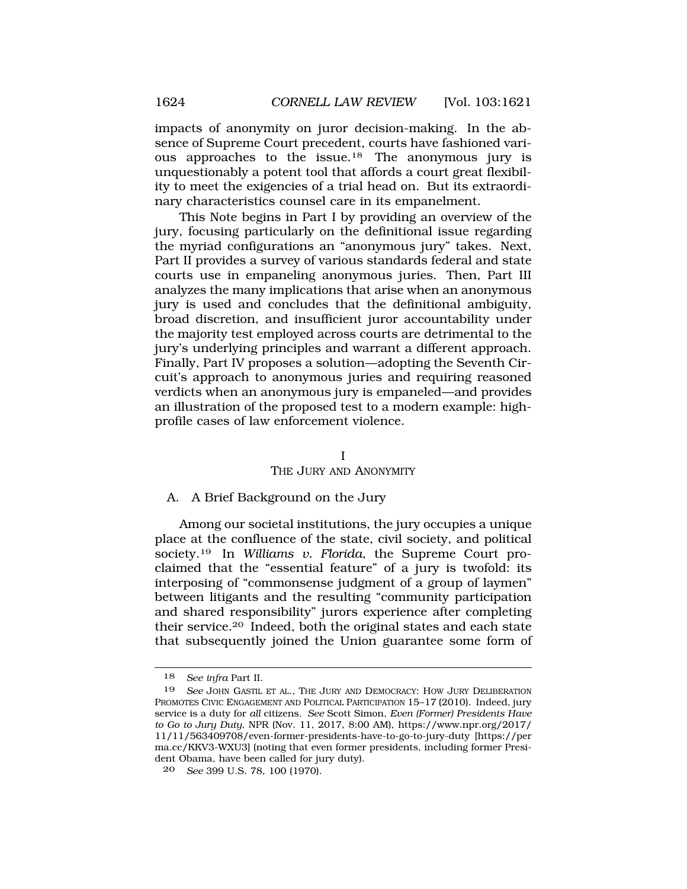impacts of anonymity on juror decision-making. In the absence of Supreme Court precedent, courts have fashioned various approaches to the issue.18 The anonymous jury is unquestionably a potent tool that affords a court great flexibility to meet the exigencies of a trial head on. But its extraordinary characteristics counsel care in its empanelment.

This Note begins in Part I by providing an overview of the jury, focusing particularly on the definitional issue regarding the myriad configurations an "anonymous jury" takes. Next, Part II provides a survey of various standards federal and state courts use in empaneling anonymous juries. Then, Part III analyzes the many implications that arise when an anonymous jury is used and concludes that the definitional ambiguity, broad discretion, and insufficient juror accountability under the majority test employed across courts are detrimental to the jury's underlying principles and warrant a different approach. Finally, Part IV proposes a solution—adopting the Seventh Circuit's approach to anonymous juries and requiring reasoned verdicts when an anonymous jury is empaneled—and provides an illustration of the proposed test to a modern example: highprofile cases of law enforcement violence.

#### I

### THE JURY AND ANONYMITY

### A. A Brief Background on the Jury

Among our societal institutions, the jury occupies a unique place at the confluence of the state, civil society, and political society.19 In *Williams v. Florida*, the Supreme Court proclaimed that the "essential feature" of a jury is twofold: its interposing of "commonsense judgment of a group of laymen" between litigants and the resulting "community participation and shared responsibility" jurors experience after completing their service.20 Indeed, both the original states and each state that subsequently joined the Union guarantee some form of

<sup>18</sup> *See infra* Part II.

<sup>19</sup> *See* JOHN GASTIL ET AL., THE JURY AND DEMOCRACY: HOW JURY DELIBERATION PROMOTES CIVIC ENGAGEMENT AND POLITICAL PARTICIPATION 15–17 (2010). Indeed, jury service is a duty for *all* citizens. *See* Scott Simon, *Even (Former) Presidents Have to Go to Jury Duty*, NPR (Nov. 11, 2017, 8:00 AM), https://www.npr.org/2017/ 11/11/563409708/even-former-presidents-have-to-go-to-jury-duty [https://per ma.cc/KKV3-WXU3] (noting that even former presidents, including former President Obama, have been called for jury duty).

<sup>20</sup> *See* 399 U.S. 78, 100 (1970).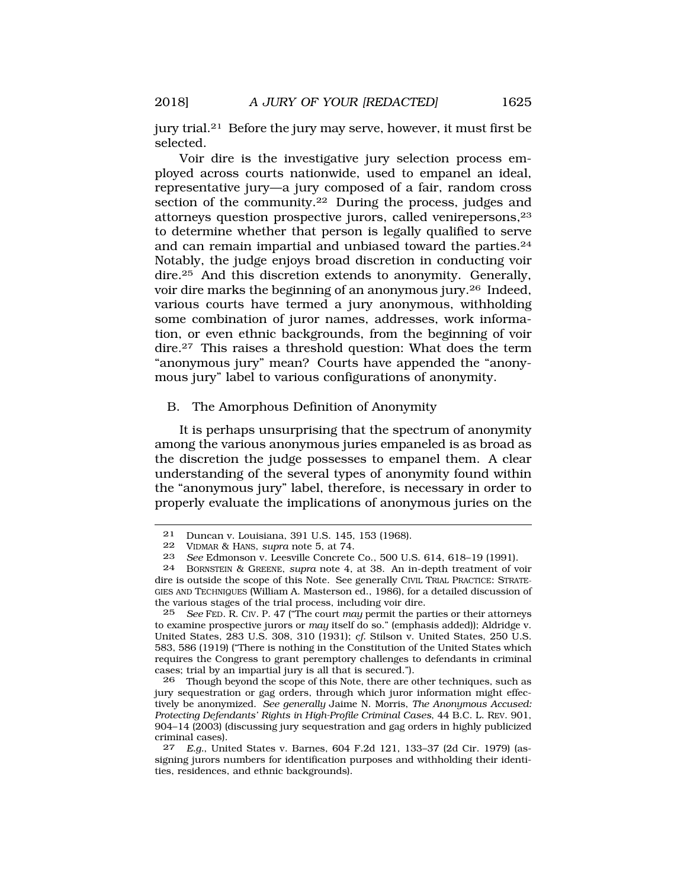jury trial.21 Before the jury may serve, however, it must first be selected.

Voir dire is the investigative jury selection process employed across courts nationwide, used to empanel an ideal, representative jury—a jury composed of a fair, random cross section of the community.<sup>22</sup> During the process, judges and attorneys question prospective jurors, called venirepersons,23 to determine whether that person is legally qualified to serve and can remain impartial and unbiased toward the parties.24 Notably, the judge enjoys broad discretion in conducting voir dire.25 And this discretion extends to anonymity. Generally, voir dire marks the beginning of an anonymous jury.26 Indeed, various courts have termed a jury anonymous, withholding some combination of juror names, addresses, work information, or even ethnic backgrounds, from the beginning of voir dire.27 This raises a threshold question: What does the term "anonymous jury" mean? Courts have appended the "anonymous jury" label to various configurations of anonymity.

### B. The Amorphous Definition of Anonymity

It is perhaps unsurprising that the spectrum of anonymity among the various anonymous juries empaneled is as broad as the discretion the judge possesses to empanel them. A clear understanding of the several types of anonymity found within the "anonymous jury" label, therefore, is necessary in order to properly evaluate the implications of anonymous juries on the

<sup>21</sup> Duncan v. Louisiana, 391 U.S. 145, 153 (1968).

<sup>22</sup> VIDMAR & HANS, *supra* note 5, at 74.

<sup>23</sup> *See* Edmonson v. Leesville Concrete Co., 500 U.S. 614, 618–19 (1991).<br>24 BORNSTEIN & GREENE, supra note 4, at 38. An in-denth treatment of v.

<sup>24</sup> BORNSTEIN & GREENE, *supra* note 4, at 38. An in-depth treatment of voir dire is outside the scope of this Note. See generally CIVIL TRIAL PRACTICE: STRATE-GIES AND TECHNIQUES (William A. Masterson ed., 1986), for a detailed discussion of the various stages of the trial process, including voir dire.

<sup>25</sup> *See* FED. R. CIV. P. 47 ("The court *may* permit the parties or their attorneys to examine prospective jurors or *may* itself do so." (emphasis added)); Aldridge v. United States, 283 U.S. 308, 310 (1931); *cf.* Stilson v. United States, 250 U.S. 583, 586 (1919) ("There is nothing in the Constitution of the United States which requires the Congress to grant peremptory challenges to defendants in criminal cases; trial by an impartial jury is all that is secured.").

<sup>26</sup> Though beyond the scope of this Note, there are other techniques, such as jury sequestration or gag orders, through which juror information might effectively be anonymized. *See generally* Jaime N. Morris, *The Anonymous Accused: Protecting Defendants' Rights in High-Profile Criminal Cases*, 44 B.C. L. REV. 901, 904–14 (2003) (discussing jury sequestration and gag orders in highly publicized criminal cases).

<sup>27</sup> *E.g.*, United States v. Barnes, 604 F.2d 121, 133–37 (2d Cir. 1979) (assigning jurors numbers for identification purposes and withholding their identities, residences, and ethnic backgrounds).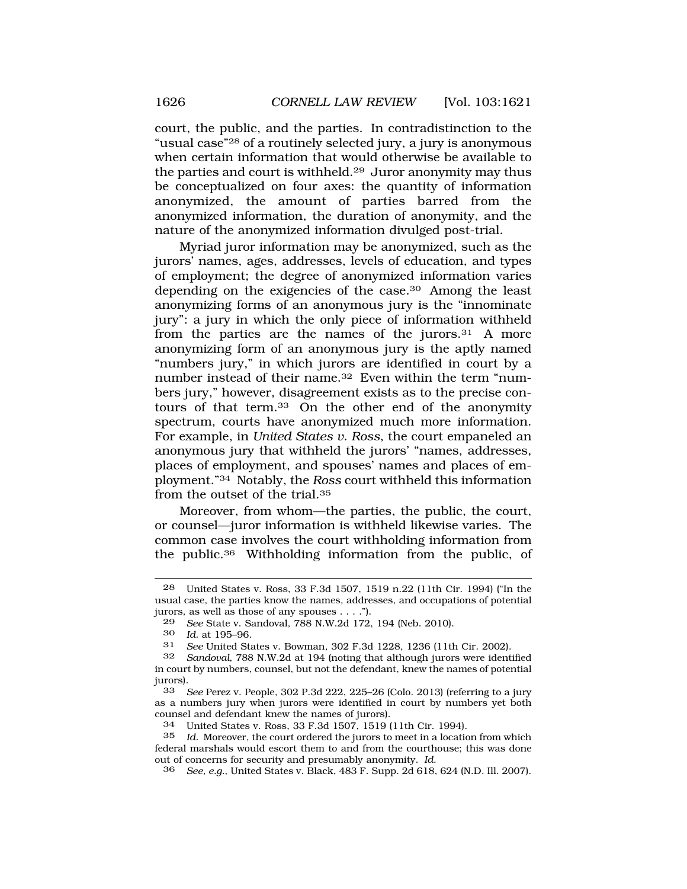court, the public, and the parties. In contradistinction to the "usual case"28 of a routinely selected jury, a jury is anonymous when certain information that would otherwise be available to the parties and court is withheld.29 Juror anonymity may thus be conceptualized on four axes: the quantity of information anonymized, the amount of parties barred from the anonymized information, the duration of anonymity, and the nature of the anonymized information divulged post-trial.

Myriad juror information may be anonymized, such as the jurors' names, ages, addresses, levels of education, and types of employment; the degree of anonymized information varies depending on the exigencies of the case.30 Among the least anonymizing forms of an anonymous jury is the "innominate jury": a jury in which the only piece of information withheld from the parties are the names of the jurors.31 A more anonymizing form of an anonymous jury is the aptly named "numbers jury," in which jurors are identified in court by a number instead of their name.32 Even within the term "numbers jury," however, disagreement exists as to the precise contours of that term.33 On the other end of the anonymity spectrum, courts have anonymized much more information. For example, in *United States v. Ross*, the court empaneled an anonymous jury that withheld the jurors' "names, addresses, places of employment, and spouses' names and places of employment."34 Notably, the *Ross* court withheld this information from the outset of the trial.35

Moreover, from whom—the parties, the public, the court, or counsel—juror information is withheld likewise varies. The common case involves the court withholding information from the public.36 Withholding information from the public, of

33 *See* Perez v. People, 302 P.3d 222, 225–26 (Colo. 2013) (referring to a jury as a numbers jury when jurors were identified in court by numbers yet both counsel and defendant knew the names of jurors).<br>34 Inited States v Ross 33 F 3d 1507 1519 (

<sup>28</sup> United States v. Ross, 33 F.3d 1507, 1519 n.22 (11th Cir. 1994) ("In the usual case, the parties know the names, addresses, and occupations of potential jurors, as well as those of any spouses . . . .").

<sup>29</sup> *See* State v. Sandoval, 788 N.W.2d 172, 194 (Neb. 2010).<br>30 *Id.* at 195-96

<sup>30</sup> *Id.* at 195–96.

<sup>31</sup> *See* United States v. Bowman, 302 F.3d 1228, 1236 (11th Cir. 2002).

Sandoval, 788 N.W.2d at 194 (noting that although jurors were identified in court by numbers, counsel, but not the defendant, knew the names of potential jurors).

<sup>34</sup> United States v. Ross, 33 F.3d 1507, 1519 (11th Cir. 1994).

Id. Moreover, the court ordered the jurors to meet in a location from which federal marshals would escort them to and from the courthouse; this was done out of concerns for security and presumably anonymity. *Id.* 

<sup>36</sup> *See, e.g.*, United States v. Black, 483 F. Supp. 2d 618, 624 (N.D. Ill. 2007).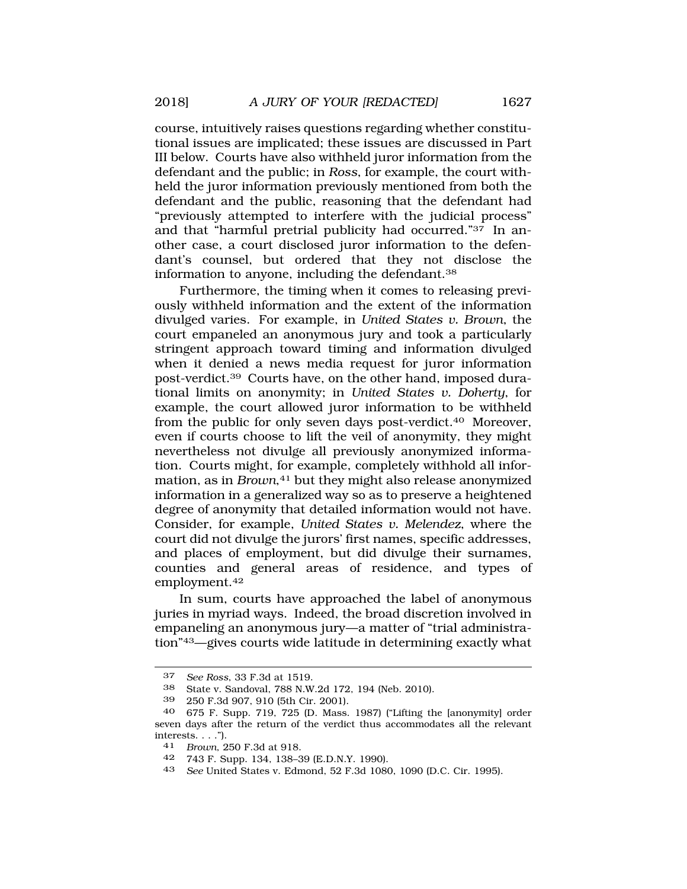course, intuitively raises questions regarding whether constitutional issues are implicated; these issues are discussed in Part III below. Courts have also withheld juror information from the defendant and the public; in *Ross*, for example, the court withheld the juror information previously mentioned from both the defendant and the public, reasoning that the defendant had "previously attempted to interfere with the judicial process" and that "harmful pretrial publicity had occurred."37 In another case, a court disclosed juror information to the defendant's counsel, but ordered that they not disclose the information to anyone, including the defendant.38

Furthermore, the timing when it comes to releasing previously withheld information and the extent of the information divulged varies. For example, in *United States v. Brown*, the court empaneled an anonymous jury and took a particularly stringent approach toward timing and information divulged when it denied a news media request for juror information post-verdict.39 Courts have, on the other hand, imposed durational limits on anonymity; in *United States v. Doherty*, for example, the court allowed juror information to be withheld from the public for only seven days post-verdict.40 Moreover, even if courts choose to lift the veil of anonymity, they might nevertheless not divulge all previously anonymized information. Courts might, for example, completely withhold all information, as in *Brown*,<sup>41</sup> but they might also release anonymized information in a generalized way so as to preserve a heightened degree of anonymity that detailed information would not have. Consider, for example, *United States v. Melendez*, where the court did not divulge the jurors' first names, specific addresses, and places of employment, but did divulge their surnames, counties and general areas of residence, and types of employment.42

In sum, courts have approached the label of anonymous juries in myriad ways. Indeed, the broad discretion involved in empaneling an anonymous jury—a matter of "trial administration"43—gives courts wide latitude in determining exactly what

41 *Brown*, 250 F.3d at 918.

<sup>37</sup> *See Ross*, 33 F.3d at 1519.

<sup>38</sup> State v. Sandoval, 788 N.W.2d 172, 194 (Neb. 2010).

<sup>39 250</sup> F.3d 907, 910 (5th Cir. 2001).

<sup>40 675</sup> F. Supp. 719, 725 (D. Mass. 1987) ("Lifting the [anonymity] order seven days after the return of the verdict thus accommodates all the relevant interests. . . .").

<sup>42 743</sup> F. Supp. 134, 138–39 (E.D.N.Y. 1990).

<sup>43</sup> *See* United States v. Edmond, 52 F.3d 1080, 1090 (D.C. Cir. 1995).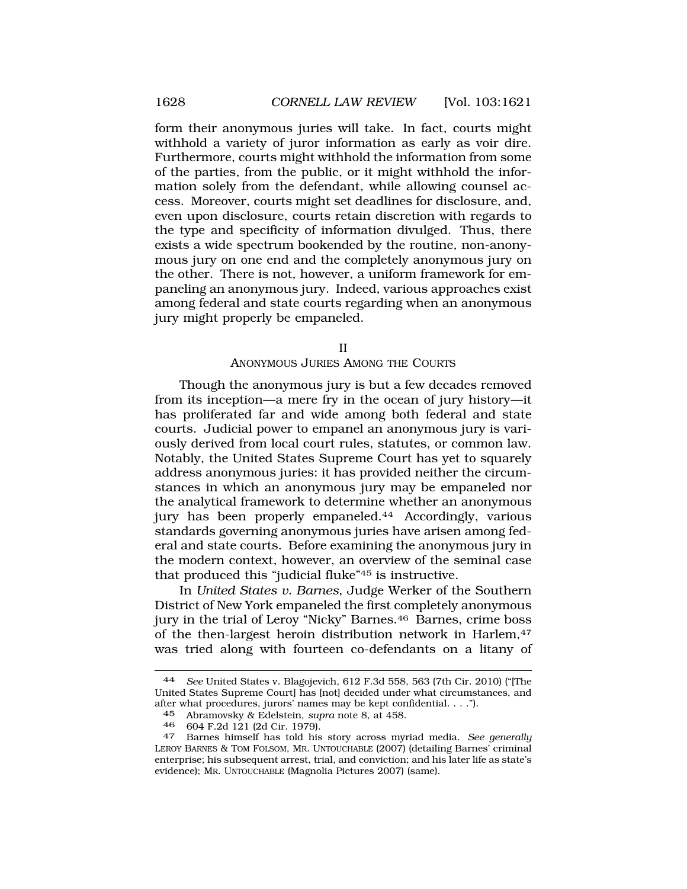form their anonymous juries will take. In fact, courts might withhold a variety of juror information as early as voir dire. Furthermore, courts might withhold the information from some of the parties, from the public, or it might withhold the information solely from the defendant, while allowing counsel access. Moreover, courts might set deadlines for disclosure, and, even upon disclosure, courts retain discretion with regards to the type and specificity of information divulged. Thus, there exists a wide spectrum bookended by the routine, non-anonymous jury on one end and the completely anonymous jury on the other. There is not, however, a uniform framework for empaneling an anonymous jury. Indeed, various approaches exist among federal and state courts regarding when an anonymous jury might properly be empaneled.

II

#### ANONYMOUS JURIES AMONG THE COURTS

Though the anonymous jury is but a few decades removed from its inception—a mere fry in the ocean of jury history—it has proliferated far and wide among both federal and state courts. Judicial power to empanel an anonymous jury is variously derived from local court rules, statutes, or common law. Notably, the United States Supreme Court has yet to squarely address anonymous juries: it has provided neither the circumstances in which an anonymous jury may be empaneled nor the analytical framework to determine whether an anonymous jury has been properly empaneled.44 Accordingly, various standards governing anonymous juries have arisen among federal and state courts. Before examining the anonymous jury in the modern context, however, an overview of the seminal case that produced this "judicial fluke"45 is instructive.

In *United States v. Barnes*, Judge Werker of the Southern District of New York empaneled the first completely anonymous jury in the trial of Leroy "Nicky" Barnes.46 Barnes, crime boss of the then-largest heroin distribution network in Harlem,<sup>47</sup> was tried along with fourteen co-defendants on a litany of

<sup>44</sup> *See* United States v. Blagojevich, 612 F.3d 558, 563 (7th Cir. 2010) ("[The United States Supreme Court] has [not] decided under what circumstances, and after what procedures, jurors' names may be kept confidential. . . .").<br> $45$  Abramovsky & Edelstein, supra note 8, at 458

<sup>45</sup> Abramovsky & Edelstein, *supra* note 8, at 458.

<sup>46 604</sup> F.2d 121 (2d Cir. 1979). 47 Barnes himself has told his story across myriad media. *See generally*  LEROY BARNES & TOM FOLSOM, MR. UNTOUCHABLE (2007) (detailing Barnes' criminal enterprise; his subsequent arrest, trial, and conviction; and his later life as state's evidence); MR. UNTOUCHABLE (Magnolia Pictures 2007) (same).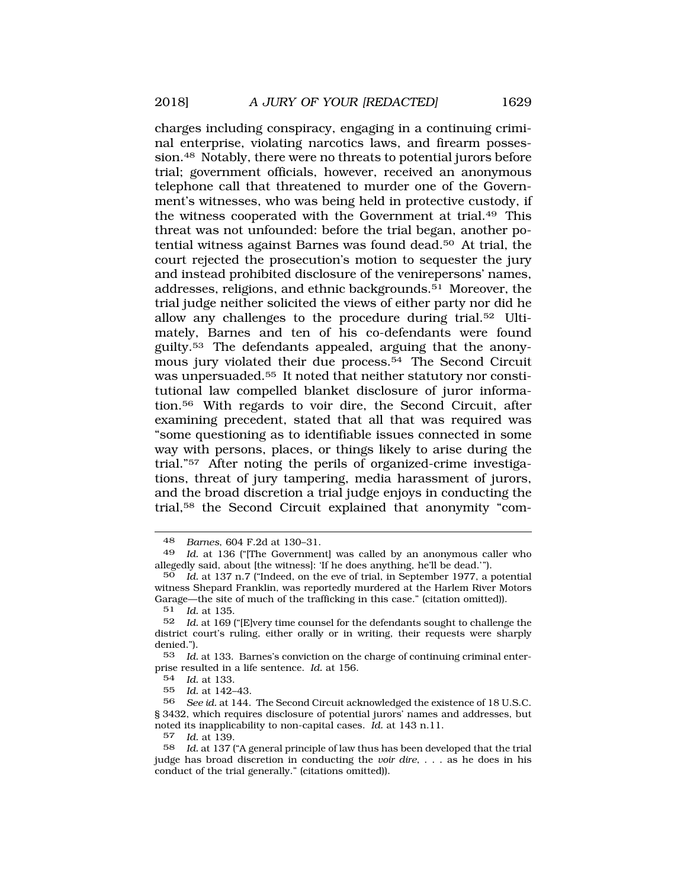charges including conspiracy, engaging in a continuing criminal enterprise, violating narcotics laws, and firearm possession.48 Notably, there were no threats to potential jurors before trial; government officials, however, received an anonymous telephone call that threatened to murder one of the Government's witnesses, who was being held in protective custody, if the witness cooperated with the Government at trial.49 This threat was not unfounded: before the trial began, another potential witness against Barnes was found dead.50 At trial, the court rejected the prosecution's motion to sequester the jury and instead prohibited disclosure of the venirepersons' names, addresses, religions, and ethnic backgrounds.51 Moreover, the trial judge neither solicited the views of either party nor did he allow any challenges to the procedure during trial.52 Ultimately, Barnes and ten of his co-defendants were found guilty.53 The defendants appealed, arguing that the anonymous jury violated their due process.<sup>54</sup> The Second Circuit was unpersuaded.55 It noted that neither statutory nor constitutional law compelled blanket disclosure of juror information.56 With regards to voir dire, the Second Circuit, after examining precedent, stated that all that was required was "some questioning as to identifiable issues connected in some way with persons, places, or things likely to arise during the trial."57 After noting the perils of organized-crime investigations, threat of jury tampering, media harassment of jurors, and the broad discretion a trial judge enjoys in conducting the trial,58 the Second Circuit explained that anonymity "com-

51 *Id.* at 135.

54 *Id.* at 133.

55 *Id.* at 142–43.

<sup>48</sup> *Barnes*, 604 F.2d at 130–31.

<sup>49</sup> *Id.* at 136 ("[The Government] was called by an anonymous caller who allegedly said, about [the witness]: 'If he does anything, he'll be dead.'").

<sup>50</sup> *Id.* at 137 n.7 ("Indeed, on the eve of trial, in September 1977, a potential witness Shepard Franklin, was reportedly murdered at the Harlem River Motors Garage—the site of much of the trafficking in this case." (citation omitted)).<br> $51 \text{ Id}$  at 135

<sup>52</sup> *Id.* at 169 ("[E]very time counsel for the defendants sought to challenge the district court's ruling, either orally or in writing, their requests were sharply denied.").

<sup>53</sup> *Id.* at 133. Barnes's conviction on the charge of continuing criminal enterprise resulted in a life sentence. *Id.* at 156.

<sup>56</sup> *See id.* at 144. The Second Circuit acknowledged the existence of 18 U.S.C. § 3432, which requires disclosure of potential jurors' names and addresses, but noted its inapplicability to non-capital cases. *Id.* at 143 n.11.

<sup>57</sup> *Id.* at 139.

<sup>58</sup> *Id.* at 137 ("A general principle of law thus has been developed that the trial judge has broad discretion in conducting the *voir dire*, . . . as he does in his conduct of the trial generally." (citations omitted)).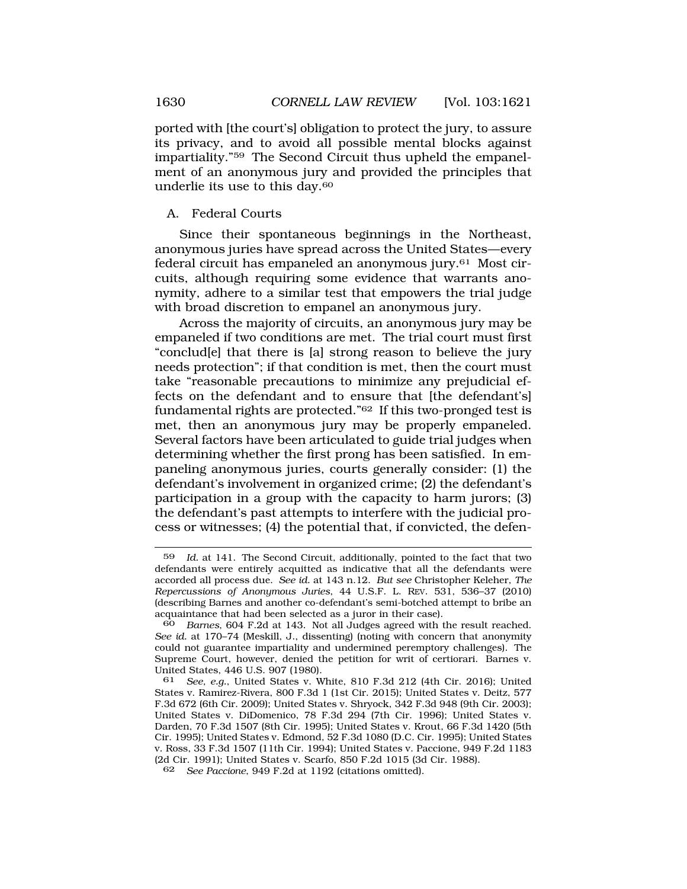ported with [the court's] obligation to protect the jury, to assure its privacy, and to avoid all possible mental blocks against impartiality."59 The Second Circuit thus upheld the empanelment of an anonymous jury and provided the principles that underlie its use to this day.60

### A. Federal Courts

Since their spontaneous beginnings in the Northeast, anonymous juries have spread across the United States—every federal circuit has empaneled an anonymous jury.61 Most circuits, although requiring some evidence that warrants anonymity, adhere to a similar test that empowers the trial judge with broad discretion to empanel an anonymous jury.

Across the majority of circuits, an anonymous jury may be empaneled if two conditions are met. The trial court must first "conclud[e] that there is [a] strong reason to believe the jury needs protection"; if that condition is met, then the court must take "reasonable precautions to minimize any prejudicial effects on the defendant and to ensure that [the defendant's] fundamental rights are protected."62 If this two-pronged test is met, then an anonymous jury may be properly empaneled. Several factors have been articulated to guide trial judges when determining whether the first prong has been satisfied. In empaneling anonymous juries, courts generally consider: (1) the defendant's involvement in organized crime; (2) the defendant's participation in a group with the capacity to harm jurors; (3) the defendant's past attempts to interfere with the judicial process or witnesses; (4) the potential that, if convicted, the defen-

<sup>59</sup> *Id.* at 141. The Second Circuit, additionally, pointed to the fact that two defendants were entirely acquitted as indicative that all the defendants were accorded all process due. *See id.* at 143 n.12. *But see* Christopher Keleher, *The Repercussions of Anonymous Juries*, 44 U.S.F. L. REV. 531, 536–37 (2010) (describing Barnes and another co-defendant's semi-botched attempt to bribe an acquaintance that had been selected as a juror in their case).

<sup>60</sup> *Barnes*, 604 F.2d at 143. Not all Judges agreed with the result reached. *See id.* at 170–74 (Meskill, J., dissenting) (noting with concern that anonymity could not guarantee impartiality and undermined peremptory challenges). The Supreme Court, however, denied the petition for writ of certiorari. Barnes v. United States, 446 U.S. 907 (1980).

<sup>61</sup> *See, e.g.*, United States v. White, 810 F.3d 212 (4th Cir. 2016); United States v. Ramirez-Rivera, 800 F.3d 1 (1st Cir. 2015); United States v. Deitz, 577 F.3d 672 (6th Cir. 2009); United States v. Shryock, 342 F.3d 948 (9th Cir. 2003); United States v. DiDomenico, 78 F.3d 294 (7th Cir. 1996); United States v. Darden, 70 F.3d 1507 (8th Cir. 1995); United States v. Krout, 66 F.3d 1420 (5th Cir. 1995); United States v. Edmond, 52 F.3d 1080 (D.C. Cir. 1995); United States v. Ross, 33 F.3d 1507 (11th Cir. 1994); United States v. Paccione, 949 F.2d 1183 (2d Cir. 1991); United States v. Scarfo, 850 F.2d 1015 (3d Cir. 1988).

<sup>62</sup> *See Paccione*, 949 F.2d at 1192 (citations omitted).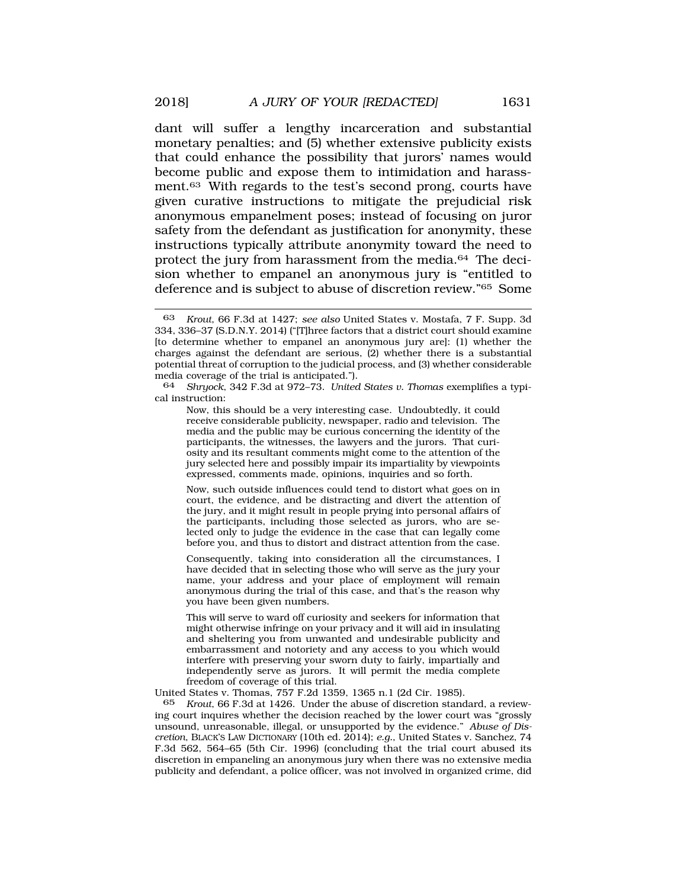dant will suffer a lengthy incarceration and substantial monetary penalties; and (5) whether extensive publicity exists that could enhance the possibility that jurors' names would become public and expose them to intimidation and harassment.63 With regards to the test's second prong, courts have given curative instructions to mitigate the prejudicial risk anonymous empanelment poses; instead of focusing on juror safety from the defendant as justification for anonymity, these instructions typically attribute anonymity toward the need to protect the jury from harassment from the media.64 The decision whether to empanel an anonymous jury is "entitled to deference and is subject to abuse of discretion review."65 Some

64 *Shryock*, 342 F.3d at 972–73. *United States v. Thomas* exemplifies a typical instruction:

Now, this should be a very interesting case. Undoubtedly, it could receive considerable publicity, newspaper, radio and television. The media and the public may be curious concerning the identity of the participants, the witnesses, the lawyers and the jurors. That curiosity and its resultant comments might come to the attention of the jury selected here and possibly impair its impartiality by viewpoints expressed, comments made, opinions, inquiries and so forth.

Now, such outside influences could tend to distort what goes on in court, the evidence, and be distracting and divert the attention of the jury, and it might result in people prying into personal affairs of the participants, including those selected as jurors, who are selected only to judge the evidence in the case that can legally come before you, and thus to distort and distract attention from the case.

Consequently, taking into consideration all the circumstances, I have decided that in selecting those who will serve as the jury your name, your address and your place of employment will remain anonymous during the trial of this case, and that's the reason why you have been given numbers.

This will serve to ward off curiosity and seekers for information that might otherwise infringe on your privacy and it will aid in insulating and sheltering you from unwanted and undesirable publicity and embarrassment and notoriety and any access to you which would interfere with preserving your sworn duty to fairly, impartially and independently serve as jurors. It will permit the media complete freedom of coverage of this trial.

United States v. Thomas, 757 F.2d 1359, 1365 n.1 (2d Cir. 1985).

65 *Krout*, 66 F.3d at 1426. Under the abuse of discretion standard, a reviewing court inquires whether the decision reached by the lower court was "grossly unsound, unreasonable, illegal, or unsupported by the evidence." *Abuse of Discretion*, BLACK'S LAW DICTIONARY (10th ed. 2014); *e.g.*, United States v. Sanchez, 74 F.3d 562, 564–65 (5th Cir. 1996) (concluding that the trial court abused its discretion in empaneling an anonymous jury when there was no extensive media publicity and defendant, a police officer, was not involved in organized crime, did

<sup>63</sup> *Krout*, 66 F.3d at 1427; *see also* United States v. Mostafa, 7 F. Supp. 3d 334, 336–37 (S.D.N.Y. 2014) ("[T]hree factors that a district court should examine [to determine whether to empanel an anonymous jury are]: (1) whether the charges against the defendant are serious, (2) whether there is a substantial potential threat of corruption to the judicial process, and (3) whether considerable media coverage of the trial is anticipated.").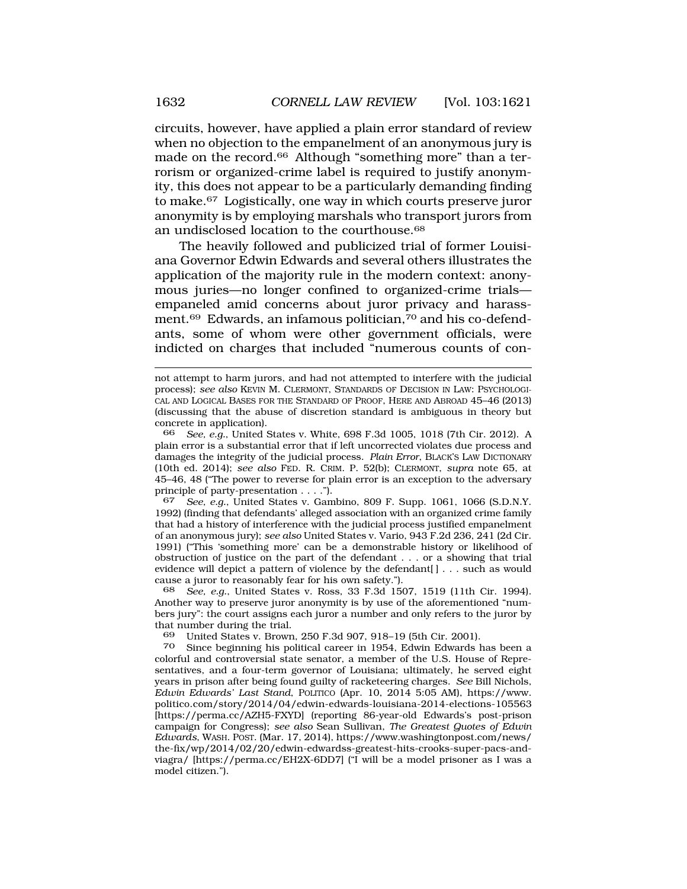circuits, however, have applied a plain error standard of review when no objection to the empanelment of an anonymous jury is made on the record.66 Although "something more" than a terrorism or organized-crime label is required to justify anonymity, this does not appear to be a particularly demanding finding to make.67 Logistically, one way in which courts preserve juror anonymity is by employing marshals who transport jurors from an undisclosed location to the courthouse.<sup>68</sup>

The heavily followed and publicized trial of former Louisiana Governor Edwin Edwards and several others illustrates the application of the majority rule in the modern context: anonymous juries—no longer confined to organized-crime trials empaneled amid concerns about juror privacy and harassment.<sup>69</sup> Edwards, an infamous politician,<sup>70</sup> and his co-defendants, some of whom were other government officials, were indicted on charges that included "numerous counts of con-

66 *See, e.g.*, United States v. White, 698 F.3d 1005, 1018 (7th Cir. 2012). A plain error is a substantial error that if left uncorrected violates due process and damages the integrity of the judicial process. *Plain Error*, BLACK'S LAW DICTIONARY (10th ed. 2014); *see also* FED. R. CRIM. P. 52(b); CLERMONT, *supra* note 65, at 45–46, 48 ("The power to reverse for plain error is an exception to the adversary principle of party-presentation . . . .").

67 *See, e.g.*, United States v. Gambino, 809 F. Supp. 1061, 1066 (S.D.N.Y. 1992) (finding that defendants' alleged association with an organized crime family that had a history of interference with the judicial process justified empanelment of an anonymous jury); *see also* United States v. Vario, 943 F.2d 236, 241 (2d Cir. 1991) ("This 'something more' can be a demonstrable history or likelihood of obstruction of justice on the part of the defendant . . . or a showing that trial evidence will depict a pattern of violence by the defendant[] . . . such as would cause a juror to reasonably fear for his own safety.").

68 *See, e.g.*, United States v. Ross, 33 F.3d 1507, 1519 (11th Cir. 1994). Another way to preserve juror anonymity is by use of the aforementioned "numbers jury": the court assigns each juror a number and only refers to the juror by that number during the trial.

69 United States v. Brown, 250 F.3d 907, 918–19 (5th Cir. 2001).

Since beginning his political career in 1954, Edwin Edwards has been a colorful and controversial state senator, a member of the U.S. House of Representatives, and a four-term governor of Louisiana; ultimately, he served eight years in prison after being found guilty of racketeering charges. *See* Bill Nichols, *Edwin Edwards' Last Stand*, POLITICO (Apr. 10, 2014 5:05 AM), https://www. politico.com/story/2014/04/edwin-edwards-louisiana-2014-elections-105563 [https://perma.cc/AZH5-FXYD] (reporting 86-year-old Edwards's post-prison campaign for Congress); *see also* Sean Sullivan, *The Greatest Quotes of Edwin Edwards*, WASH. POST. (Mar. 17, 2014), https://www.washingtonpost.com/news/ the-fix/wp/2014/02/20/edwin-edwardss-greatest-hits-crooks-super-pacs-andviagra/ [https://perma.cc/EH2X-6DD7] ("I will be a model prisoner as I was a model citizen.").

not attempt to harm jurors, and had not attempted to interfere with the judicial process); *see also* KEVIN M. CLERMONT, STANDARDS OF DECISION IN LAW: PSYCHOLOGI-CAL AND LOGICAL BASES FOR THE STANDARD OF PROOF, HERE AND ABROAD 45–46 (2013) (discussing that the abuse of discretion standard is ambiguous in theory but concrete in application).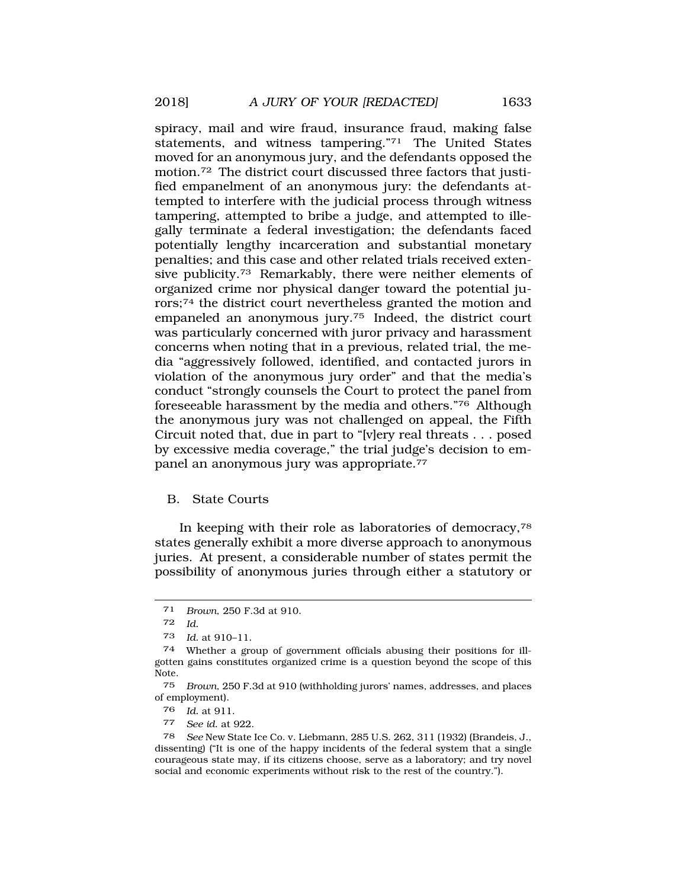spiracy, mail and wire fraud, insurance fraud, making false statements, and witness tampering."71 The United States moved for an anonymous jury, and the defendants opposed the motion.72 The district court discussed three factors that justified empanelment of an anonymous jury: the defendants attempted to interfere with the judicial process through witness tampering, attempted to bribe a judge, and attempted to illegally terminate a federal investigation; the defendants faced potentially lengthy incarceration and substantial monetary penalties; and this case and other related trials received extensive publicity.73 Remarkably, there were neither elements of organized crime nor physical danger toward the potential jurors;74 the district court nevertheless granted the motion and empaneled an anonymous jury.75 Indeed, the district court was particularly concerned with juror privacy and harassment concerns when noting that in a previous, related trial, the media "aggressively followed, identified, and contacted jurors in violation of the anonymous jury order" and that the media's conduct "strongly counsels the Court to protect the panel from foreseeable harassment by the media and others."76 Although the anonymous jury was not challenged on appeal, the Fifth Circuit noted that, due in part to "[v]ery real threats . . . posed by excessive media coverage," the trial judge's decision to empanel an anonymous jury was appropriate.77

## B. State Courts

In keeping with their role as laboratories of democracy,78 states generally exhibit a more diverse approach to anonymous juries. At present, a considerable number of states permit the possibility of anonymous juries through either a statutory or

76 *Id.* at 911.

77 *See id.* at 922.

<sup>71</sup> *Brown*, 250 F.3d at 910.

<sup>72</sup> *Id.* 

<sup>73</sup> *Id.* at 910–11.

<sup>74</sup> Whether a group of government officials abusing their positions for illgotten gains constitutes organized crime is a question beyond the scope of this Note.

<sup>75</sup> *Brown*, 250 F.3d at 910 (withholding jurors' names, addresses, and places of employment).

<sup>78</sup> *See* New State Ice Co. v. Liebmann, 285 U.S. 262, 311 (1932) (Brandeis, J., dissenting) ("It is one of the happy incidents of the federal system that a single courageous state may, if its citizens choose, serve as a laboratory; and try novel social and economic experiments without risk to the rest of the country.").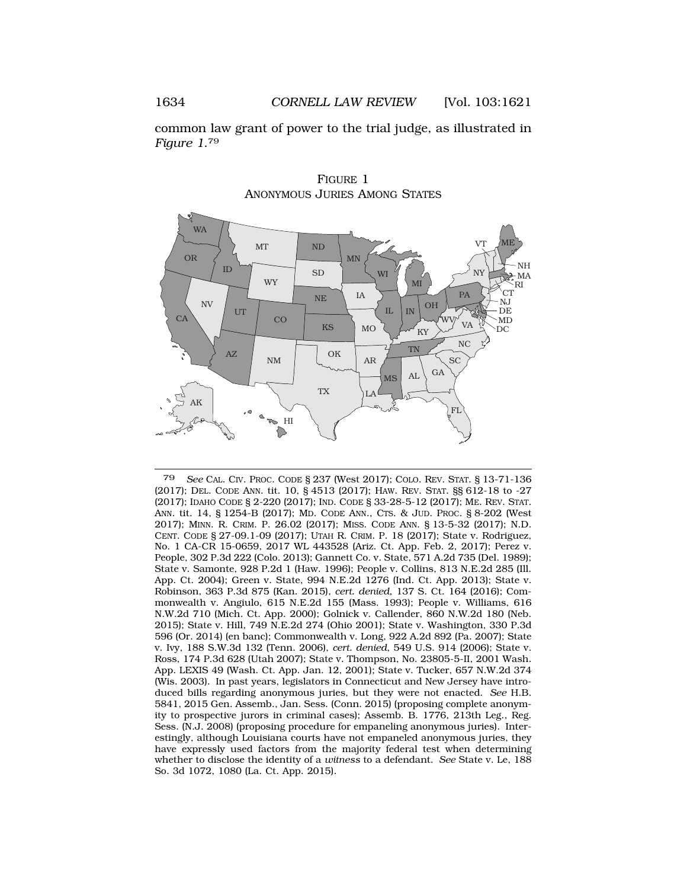common law grant of power to the trial judge, as illustrated in *Figure 1*.79



FIGURE 1 ANONYMOUS JURIES AMONG STATES

79 *See* CAL. CIV. PROC. CODE § 237 (West 2017); COLO. REV. STAT. § 13-71-136 (2017); DEL. CODE ANN. tit. 10, § 4513 (2017); HAW. REV. STAT. §§ 612-18 to -27 (2017); IDAHO CODE § 2-220 (2017); IND. CODE § 33-28-5-12 (2017); ME. REV. STAT. ANN. tit. 14, § 1254-B (2017); MD. CODE ANN., CTS. & JUD. PROC. § 8-202 (West 2017); MINN. R. CRIM. P. 26.02 (2017); MISS. CODE ANN. § 13-5-32 (2017); N.D. CENT. CODE § 27-09.1-09 (2017); UTAH R. CRIM. P. 18 (2017); State v. Rodriguez, No. 1 CA-CR 15-0659, 2017 WL 443528 (Ariz. Ct. App. Feb. 2, 2017); Perez v. People, 302 P.3d 222 (Colo. 2013); Gannett Co. v. State, 571 A.2d 735 (Del. 1989); State v. Samonte, 928 P.2d 1 (Haw. 1996); People v. Collins, 813 N.E.2d 285 (Ill. App. Ct. 2004); Green v. State, 994 N.E.2d 1276 (Ind. Ct. App. 2013); State v. Robinson, 363 P.3d 875 (Kan. 2015), *cert. denied*, 137 S. Ct. 164 (2016); Commonwealth v. Angiulo, 615 N.E.2d 155 (Mass. 1993); People v. Williams, 616 N.W.2d 710 (Mich. Ct. App. 2000); Golnick v. Callender, 860 N.W.2d 180 (Neb. 2015); State v. Hill, 749 N.E.2d 274 (Ohio 2001); State v. Washington, 330 P.3d 596 (Or. 2014) (en banc); Commonwealth v. Long, 922 A.2d 892 (Pa. 2007); State v. Ivy, 188 S.W.3d 132 (Tenn. 2006), *cert. denied*, 549 U.S. 914 (2006); State v. Ross, 174 P.3d 628 (Utah 2007); State v. Thompson, No. 23805-5-II, 2001 Wash. App. LEXIS 49 (Wash. Ct. App. Jan. 12, 2001); State v. Tucker, 657 N.W.2d 374 (Wis. 2003). In past years, legislators in Connecticut and New Jersey have introduced bills regarding anonymous juries, but they were not enacted. *See* H.B. 5841, 2015 Gen. Assemb., Jan. Sess. (Conn. 2015) (proposing complete anonymity to prospective jurors in criminal cases); Assemb. B. 1776, 213th Leg., Reg. Sess. (N.J. 2008) (proposing procedure for empaneling anonymous juries). Interestingly, although Louisiana courts have not empaneled anonymous juries, they have expressly used factors from the majority federal test when determining whether to disclose the identity of a *witness* to a defendant. *See* State v. Le, 188 So. 3d 1072, 1080 (La. Ct. App. 2015).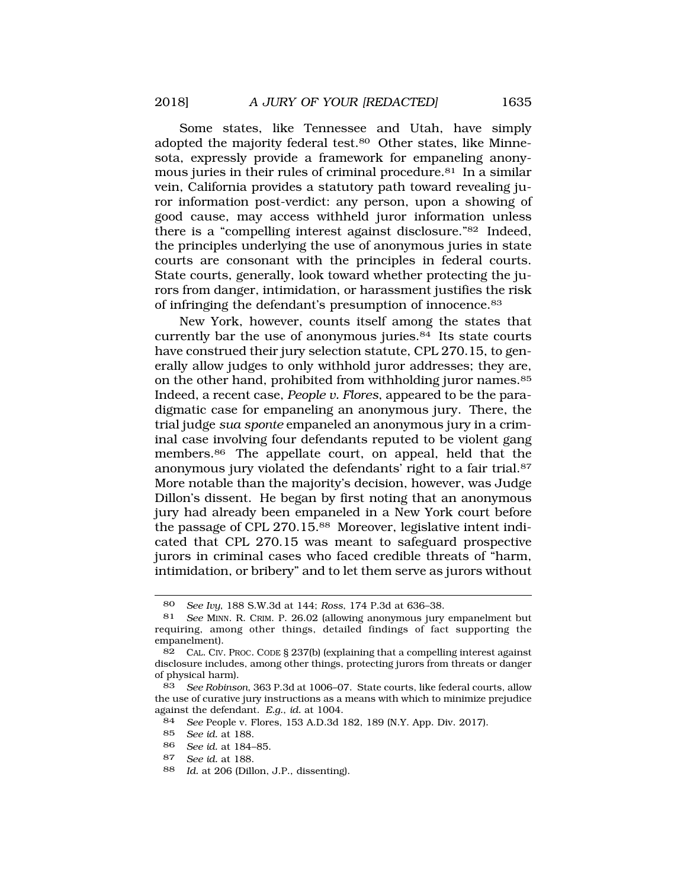Some states, like Tennessee and Utah, have simply adopted the majority federal test.<sup>80</sup> Other states, like Minnesota, expressly provide a framework for empaneling anonymous juries in their rules of criminal procedure.81 In a similar vein, California provides a statutory path toward revealing juror information post-verdict: any person, upon a showing of good cause, may access withheld juror information unless there is a "compelling interest against disclosure."82 Indeed, the principles underlying the use of anonymous juries in state courts are consonant with the principles in federal courts. State courts, generally, look toward whether protecting the jurors from danger, intimidation, or harassment justifies the risk of infringing the defendant's presumption of innocence.83

New York, however, counts itself among the states that currently bar the use of anonymous juries. $84$  Its state courts have construed their jury selection statute, CPL 270.15, to generally allow judges to only withhold juror addresses; they are, on the other hand, prohibited from withholding juror names.<sup>85</sup> Indeed, a recent case, *People v. Flores*, appeared to be the paradigmatic case for empaneling an anonymous jury. There, the trial judge *sua sponte* empaneled an anonymous jury in a criminal case involving four defendants reputed to be violent gang members.86 The appellate court, on appeal, held that the anonymous jury violated the defendants' right to a fair trial.87 More notable than the majority's decision, however, was Judge Dillon's dissent. He began by first noting that an anonymous jury had already been empaneled in a New York court before the passage of CPL 270.15.<sup>88</sup> Moreover, legislative intent indicated that CPL 270.15 was meant to safeguard prospective jurors in criminal cases who faced credible threats of "harm, intimidation, or bribery" and to let them serve as jurors without

84 *See* People v. Flores, 153 A.D.3d 182, 189 (N.Y. App. Div. 2017).

- 86 *See id.* at 184–85.
- 87 *See id.* at 188.
- 88 *Id.* at 206 (Dillon, J.P., dissenting).

<sup>80</sup> *See Ivy*, 188 S.W.3d at 144; *Ross*, 174 P.3d at 636–38.

<sup>81</sup> *See* MINN. R. CRIM. P. 26.02 (allowing anonymous jury empanelment but requiring, among other things, detailed findings of fact supporting the empanelment).

<sup>82</sup> CAL. CIV. PROC. CODE § 237(b) (explaining that a compelling interest against disclosure includes, among other things, protecting jurors from threats or danger of physical harm).

<sup>83</sup> *See Robinson*, 363 P.3d at 1006–07. State courts, like federal courts, allow the use of curative jury instructions as a means with which to minimize prejudice against the defendant. *E.g.*, *id.* at 1004.

<sup>85</sup> *See id.* at 188.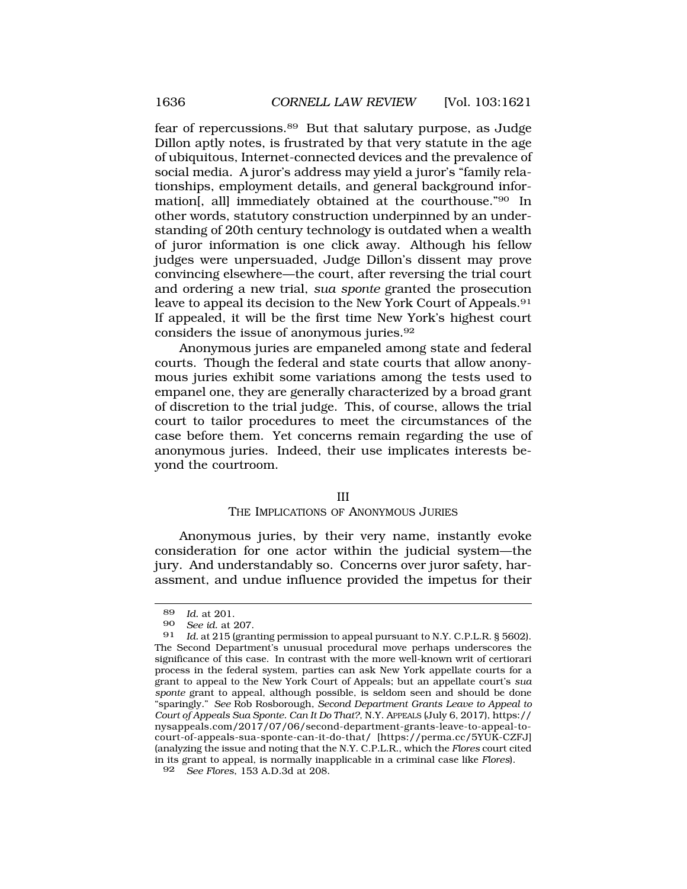fear of repercussions.89 But that salutary purpose, as Judge Dillon aptly notes, is frustrated by that very statute in the age of ubiquitous, Internet-connected devices and the prevalence of social media. A juror's address may yield a juror's "family relationships, employment details, and general background information[, all] immediately obtained at the courthouse."90 In other words, statutory construction underpinned by an understanding of 20th century technology is outdated when a wealth of juror information is one click away. Although his fellow judges were unpersuaded, Judge Dillon's dissent may prove convincing elsewhere—the court, after reversing the trial court and ordering a new trial, *sua sponte* granted the prosecution leave to appeal its decision to the New York Court of Appeals.<sup>91</sup> If appealed, it will be the first time New York's highest court considers the issue of anonymous juries.92

Anonymous juries are empaneled among state and federal courts. Though the federal and state courts that allow anonymous juries exhibit some variations among the tests used to empanel one, they are generally characterized by a broad grant of discretion to the trial judge. This, of course, allows the trial court to tailor procedures to meet the circumstances of the case before them. Yet concerns remain regarding the use of anonymous juries. Indeed, their use implicates interests beyond the courtroom.

#### III

#### THE IMPLICATIONS OF ANONYMOUS JURIES

Anonymous juries, by their very name, instantly evoke consideration for one actor within the judicial system—the jury. And understandably so. Concerns over juror safety, harassment, and undue influence provided the impetus for their

<sup>89</sup> *Id.* at 201.

<sup>90</sup> *See id.* at 207.

Id. at 215 (granting permission to appeal pursuant to N.Y. C.P.L.R. § 5602). The Second Department's unusual procedural move perhaps underscores the significance of this case. In contrast with the more well-known writ of certiorari process in the federal system, parties can ask New York appellate courts for a grant to appeal to the New York Court of Appeals; but an appellate court's *sua sponte* grant to appeal, although possible, is seldom seen and should be done "sparingly." *See* Rob Rosborough, *Second Department Grants Leave to Appeal to Court of Appeals Sua Sponte. Can It Do That?*, N.Y. APPEALS (July 6, 2017), https:// nysappeals.com/2017/07/06/second-department-grants-leave-to-appeal-tocourt-of-appeals-sua-sponte-can-it-do-that/ [https://perma.cc/5YUK-CZFJ] (analyzing the issue and noting that the N.Y. C.P.L.R., which the *Flores* court cited in its grant to appeal, is normally inapplicable in a criminal case like *Flores*).

<sup>92</sup> *See Flores*, 153 A.D.3d at 208.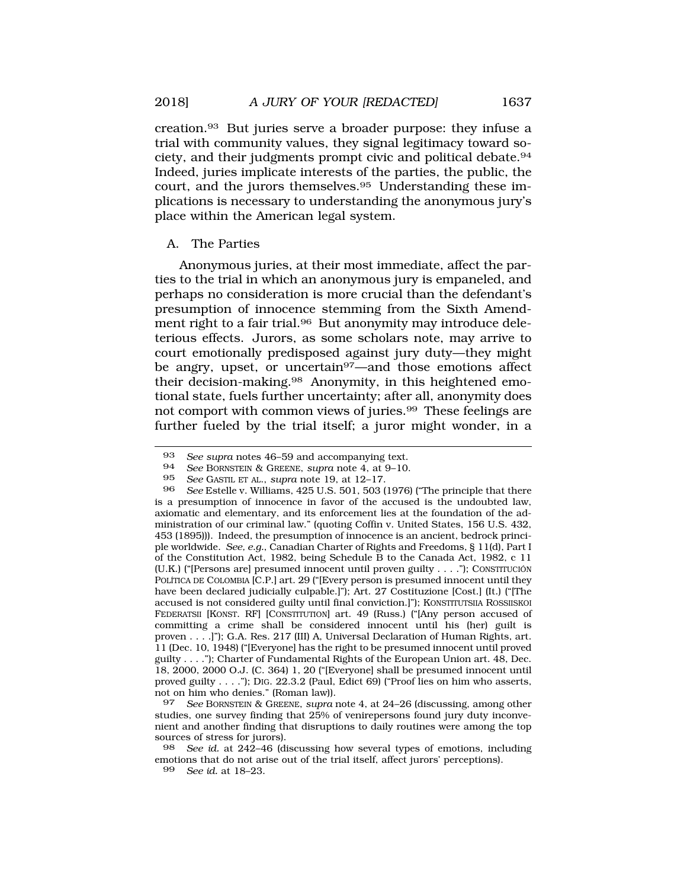creation.93 But juries serve a broader purpose: they infuse a trial with community values, they signal legitimacy toward society, and their judgments prompt civic and political debate.94 Indeed, juries implicate interests of the parties, the public, the court, and the jurors themselves.95 Understanding these implications is necessary to understanding the anonymous jury's place within the American legal system.

### A. The Parties

Anonymous juries, at their most immediate, affect the parties to the trial in which an anonymous jury is empaneled, and perhaps no consideration is more crucial than the defendant's presumption of innocence stemming from the Sixth Amendment right to a fair trial.<sup>96</sup> But anonymity may introduce deleterious effects. Jurors, as some scholars note, may arrive to court emotionally predisposed against jury duty—they might be angry, upset, or uncertain<sup>97</sup>—and those emotions affect their decision-making.98 Anonymity, in this heightened emotional state, fuels further uncertainty; after all, anonymity does not comport with common views of juries.99 These feelings are further fueled by the trial itself; a juror might wonder, in a

<sup>93</sup> *See supra* notes 46–59 and accompanying text.<br>94 *See* BOBNSTEIN & GREENE, supra note 4, at 9–10

<sup>94</sup> *See* BORNSTEIN & GREENE, *supra* note 4, at 9–10.

<sup>95</sup> *See* GASTIL ET AL., *supra* note 19, at 12–17.

<sup>96</sup> *See* Estelle v. Williams, 425 U.S. 501, 503 (1976) ("The principle that there is a presumption of innocence in favor of the accused is the undoubted law, axiomatic and elementary, and its enforcement lies at the foundation of the administration of our criminal law." (quoting Coffin v. United States, 156 U.S. 432, 453 (1895))). Indeed, the presumption of innocence is an ancient, bedrock principle worldwide. *See, e.g.*, Canadian Charter of Rights and Freedoms, § 11(d), Part I of the Constitution Act, 1982, being Schedule B to the Canada Act, 1982, c 11 (U.K.) ("[Persons are] presumed innocent until proven guilty  $\dots$ "); CONSTITUCIÓN POLÍTICA DE COLOMBIA [C.P.] art. 29 ("[Every person is presumed innocent until they have been declared judicially culpable.]"); Art. 27 Costituzione [Cost.] (It.) ("[The accused is not considered guilty until final conviction.]"); KONSTITUTSIIA ROSSIISKOI FEDERATSII [KONST. RF] [CONSTITUTION] art. 49 (Russ.) ("[Any person accused of committing a crime shall be considered innocent until his (her) guilt is proven . . . .]"); G.A. Res. 217 (III) A, Universal Declaration of Human Rights, art. 11 (Dec. 10, 1948) ("[Everyone] has the right to be presumed innocent until proved guilty . . . ."); Charter of Fundamental Rights of the European Union art. 48, Dec. 18, 2000, 2000 O.J. (C. 364) 1, 20 ("[Everyone] shall be presumed innocent until proved guilty . . . ."); DIG. 22.3.2 (Paul, Edict 69) ("Proof lies on him who asserts, not on him who denies." (Roman law)).

<sup>97</sup> *See* BORNSTEIN & GREENE, *supra* note 4, at 24–26 (discussing, among other studies, one survey finding that 25% of venirepersons found jury duty inconvenient and another finding that disruptions to daily routines were among the top sources of stress for jurors).

<sup>98</sup> *See id.* at 242–46 (discussing how several types of emotions, including emotions that do not arise out of the trial itself, affect jurors' perceptions).

<sup>99</sup> *See id.* at 18–23.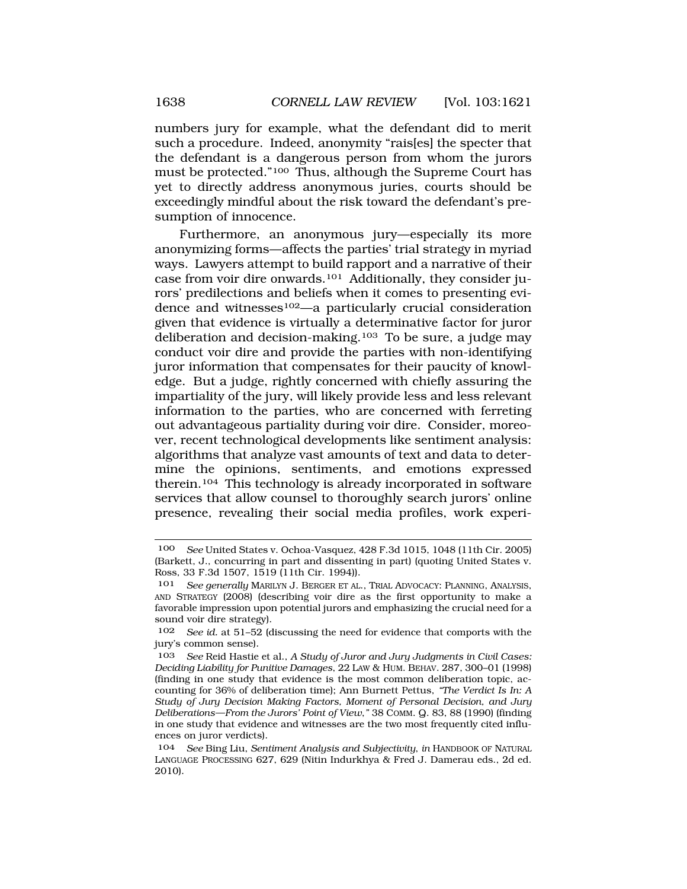numbers jury for example, what the defendant did to merit such a procedure. Indeed, anonymity "rais[es] the specter that the defendant is a dangerous person from whom the jurors must be protected."100 Thus, although the Supreme Court has yet to directly address anonymous juries, courts should be exceedingly mindful about the risk toward the defendant's presumption of innocence.

Furthermore, an anonymous jury—especially its more anonymizing forms—affects the parties' trial strategy in myriad ways. Lawyers attempt to build rapport and a narrative of their case from voir dire onwards.101 Additionally, they consider jurors' predilections and beliefs when it comes to presenting evidence and witnesses<sup>102</sup>—a particularly crucial consideration given that evidence is virtually a determinative factor for juror deliberation and decision-making.103 To be sure, a judge may conduct voir dire and provide the parties with non-identifying juror information that compensates for their paucity of knowledge. But a judge, rightly concerned with chiefly assuring the impartiality of the jury, will likely provide less and less relevant information to the parties, who are concerned with ferreting out advantageous partiality during voir dire. Consider, moreover, recent technological developments like sentiment analysis: algorithms that analyze vast amounts of text and data to determine the opinions, sentiments, and emotions expressed therein.104 This technology is already incorporated in software services that allow counsel to thoroughly search jurors' online presence, revealing their social media profiles, work experi-

<sup>100</sup> *See* United States v. Ochoa-Vasquez, 428 F.3d 1015, 1048 (11th Cir. 2005) (Barkett, J., concurring in part and dissenting in part) (quoting United States v. Ross, 33 F.3d 1507, 1519 (11th Cir. 1994)).

<sup>101</sup> *See generally* MARILYN J. BERGER ET AL., TRIAL ADVOCACY: PLANNING, ANALYSIS, AND STRATEGY (2008) (describing voir dire as the first opportunity to make a favorable impression upon potential jurors and emphasizing the crucial need for a sound voir dire strategy).

<sup>102</sup> *See id.* at 51–52 (discussing the need for evidence that comports with the jury's common sense).

<sup>103</sup> *See* Reid Hastie et al., *A Study of Juror and Jury Judgments in Civil Cases: Deciding Liability for Punitive Damages*, 22 LAW & HUM. BEHAV. 287, 300–01 (1998) (finding in one study that evidence is the most common deliberation topic, accounting for 36% of deliberation time); Ann Burnett Pettus, *"The Verdict Is In: A Study of Jury Decision Making Factors, Moment of Personal Decision, and Jury Deliberations—From the Jurors' Point of View*,*"* 38 COMM. Q. 83, 88 (1990) (finding in one study that evidence and witnesses are the two most frequently cited influences on juror verdicts).

<sup>104</sup> *See* Bing Liu, *Sentiment Analysis and Subjectivity*, *in* HANDBOOK OF NATURAL LANGUAGE PROCESSING 627, 629 (Nitin Indurkhya & Fred J. Damerau eds., 2d ed. 2010).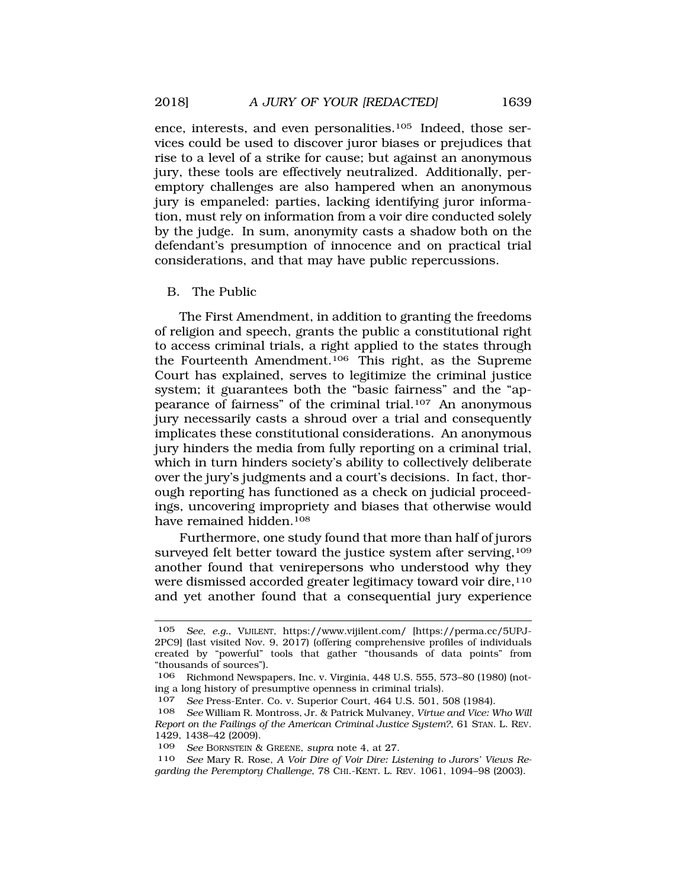ence, interests, and even personalities.105 Indeed, those services could be used to discover juror biases or prejudices that rise to a level of a strike for cause; but against an anonymous jury, these tools are effectively neutralized. Additionally, peremptory challenges are also hampered when an anonymous jury is empaneled: parties, lacking identifying juror information, must rely on information from a voir dire conducted solely by the judge. In sum, anonymity casts a shadow both on the defendant's presumption of innocence and on practical trial considerations, and that may have public repercussions.

### B. The Public

The First Amendment, in addition to granting the freedoms of religion and speech, grants the public a constitutional right to access criminal trials, a right applied to the states through the Fourteenth Amendment.106 This right, as the Supreme Court has explained, serves to legitimize the criminal justice system; it guarantees both the "basic fairness" and the "appearance of fairness" of the criminal trial.107 An anonymous jury necessarily casts a shroud over a trial and consequently implicates these constitutional considerations. An anonymous jury hinders the media from fully reporting on a criminal trial, which in turn hinders society's ability to collectively deliberate over the jury's judgments and a court's decisions. In fact, thorough reporting has functioned as a check on judicial proceedings, uncovering impropriety and biases that otherwise would have remained hidden.<sup>108</sup>

Furthermore, one study found that more than half of jurors surveyed felt better toward the justice system after serving,<sup>109</sup> another found that venirepersons who understood why they were dismissed accorded greater legitimacy toward voir dire,<sup>110</sup> and yet another found that a consequential jury experience

<sup>105</sup> *See, e.g.*, VIJILENT, https://www.vijilent.com/ [https://perma.cc/5UPJ-2PC9] (last visited Nov. 9, 2017) (offering comprehensive profiles of individuals created by "powerful" tools that gather "thousands of data points" from "thousands of sources").

<sup>106</sup> Richmond Newspapers, Inc. v. Virginia, 448 U.S. 555, 573–80 (1980) (noting a long history of presumptive openness in criminal trials).

<sup>107</sup> *See* Press-Enter. Co. v. Superior Court, 464 U.S. 501, 508 (1984).

<sup>108</sup> *See* William R. Montross, Jr. & Patrick Mulvaney, *Virtue and Vice: Who Will Report on the Failings of the American Criminal Justice System?*, 61 STAN. L. REV. 1429, 1438–42 (2009).

<sup>109</sup> *See* BORNSTEIN & GREENE, *supra* note 4, at 27.

<sup>110</sup> *See* Mary R. Rose, *A Voir Dire of Voir Dire: Listening to Jurors' Views Regarding the Peremptory Challenge*, 78 CHI.-KENT. L. REV. 1061, 1094–98 (2003).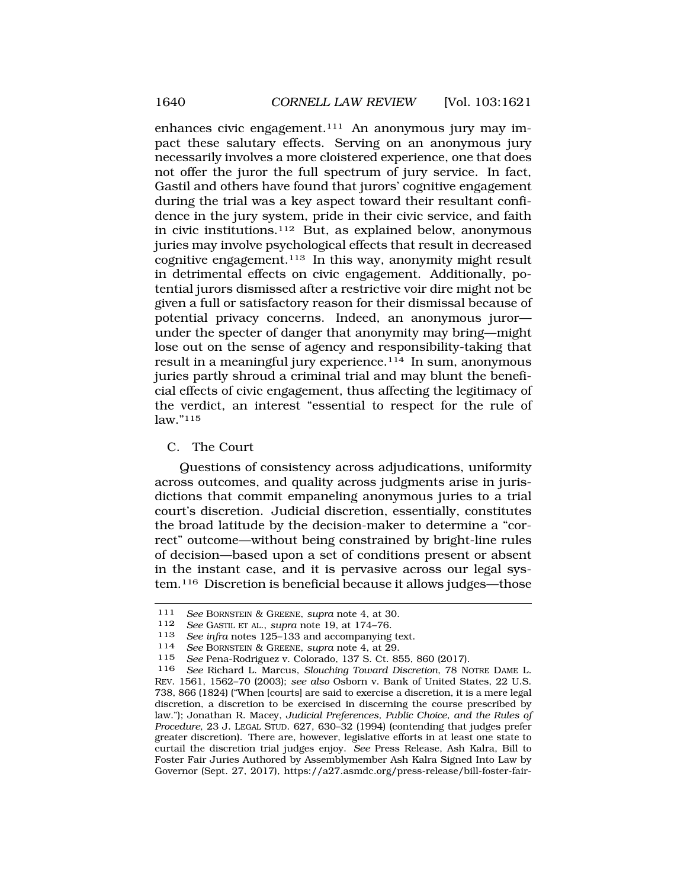enhances civic engagement.111 An anonymous jury may impact these salutary effects. Serving on an anonymous jury necessarily involves a more cloistered experience, one that does not offer the juror the full spectrum of jury service. In fact, Gastil and others have found that jurors' cognitive engagement during the trial was a key aspect toward their resultant confidence in the jury system, pride in their civic service, and faith in civic institutions.112 But, as explained below, anonymous juries may involve psychological effects that result in decreased cognitive engagement.113 In this way, anonymity might result in detrimental effects on civic engagement. Additionally, potential jurors dismissed after a restrictive voir dire might not be given a full or satisfactory reason for their dismissal because of potential privacy concerns. Indeed, an anonymous juror under the specter of danger that anonymity may bring—might lose out on the sense of agency and responsibility-taking that result in a meaningful jury experience.114 In sum, anonymous juries partly shroud a criminal trial and may blunt the beneficial effects of civic engagement, thus affecting the legitimacy of the verdict, an interest "essential to respect for the rule of law."115

## C. The Court

Questions of consistency across adjudications, uniformity across outcomes, and quality across judgments arise in jurisdictions that commit empaneling anonymous juries to a trial court's discretion. Judicial discretion, essentially, constitutes the broad latitude by the decision-maker to determine a "correct" outcome—without being constrained by bright-line rules of decision—based upon a set of conditions present or absent in the instant case, and it is pervasive across our legal system.116 Discretion is beneficial because it allows judges—those

<sup>111</sup> *See* BORNSTEIN & GREENE, *supra* note 4, at 30.

<sup>112</sup> *See* GASTIL ET AL., *supra* note 19, at 174–76.

<sup>113</sup>*See infra* notes 125–133 and accompanying text. 114 *See* BORNSTEIN & GREENE, *supra* note 4, at 29.

<sup>115</sup> *See* Pena-Rodriguez v. Colorado, 137 S. Ct. 855, 860 (2017).

<sup>116</sup> *See* Richard L. Marcus, *Slouching Toward Discretion*, 78 NOTRE DAME L. REV. 1561, 1562–70 (2003); *see also* Osborn v. Bank of United States, 22 U.S. 738, 866 (1824) ("When [courts] are said to exercise a discretion, it is a mere legal discretion, a discretion to be exercised in discerning the course prescribed by law."); Jonathan R. Macey, *Judicial Preferences, Public Choice, and the Rules of Procedure*, 23 J. LEGAL STUD. 627, 630–32 (1994) (contending that judges prefer greater discretion). There are, however, legislative efforts in at least one state to curtail the discretion trial judges enjoy. *See* Press Release, Ash Kalra, Bill to Foster Fair Juries Authored by Assemblymember Ash Kalra Signed Into Law by Governor (Sept. 27, 2017), https://a27.asmdc.org/press-release/bill-foster-fair-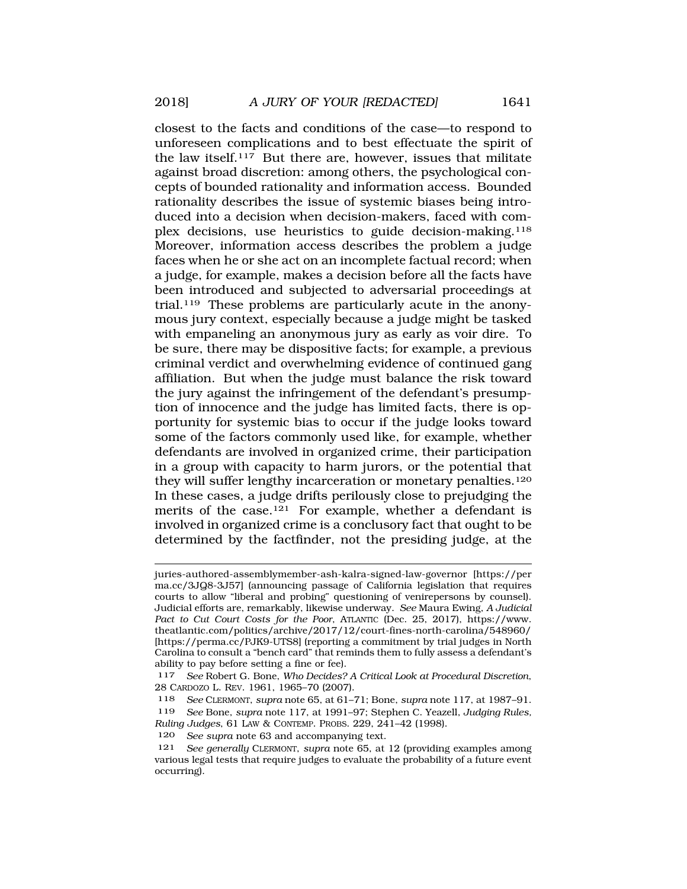closest to the facts and conditions of the case—to respond to unforeseen complications and to best effectuate the spirit of the law itself.<sup>117</sup> But there are, however, issues that militate against broad discretion: among others, the psychological concepts of bounded rationality and information access. Bounded rationality describes the issue of systemic biases being introduced into a decision when decision-makers, faced with complex decisions, use heuristics to guide decision-making.118 Moreover, information access describes the problem a judge faces when he or she act on an incomplete factual record; when a judge, for example, makes a decision before all the facts have been introduced and subjected to adversarial proceedings at trial.119 These problems are particularly acute in the anonymous jury context, especially because a judge might be tasked with empaneling an anonymous jury as early as voir dire. To be sure, there may be dispositive facts; for example, a previous criminal verdict and overwhelming evidence of continued gang affiliation. But when the judge must balance the risk toward the jury against the infringement of the defendant's presumption of innocence and the judge has limited facts, there is opportunity for systemic bias to occur if the judge looks toward some of the factors commonly used like, for example, whether defendants are involved in organized crime, their participation in a group with capacity to harm jurors, or the potential that they will suffer lengthy incarceration or monetary penalties.<sup>120</sup> In these cases, a judge drifts perilously close to prejudging the merits of the case.121 For example, whether a defendant is involved in organized crime is a conclusory fact that ought to be determined by the factfinder, not the presiding judge, at the

juries-authored-assemblymember-ash-kalra-signed-law-governor [https://per ma.cc/3JQ8-3J57] (announcing passage of California legislation that requires courts to allow "liberal and probing" questioning of venirepersons by counsel). Judicial efforts are, remarkably, likewise underway. *See* Maura Ewing, *A Judicial Pact to Cut Court Costs for the Poor*, ATLANTIC (Dec. 25, 2017), https://www. theatlantic.com/politics/archive/2017/12/court-fines-north-carolina/548960/ [https://perma.cc/PJK9-UTS8] (reporting a commitment by trial judges in North Carolina to consult a "bench card" that reminds them to fully assess a defendant's ability to pay before setting a fine or fee).

<sup>117</sup> *See* Robert G. Bone, *Who Decides? A Critical Look at Procedural Discretion*, 28 CARDOZO L. REV. 1961, 1965–70 (2007).

<sup>118</sup> *See* CLERMONT, *supra* note 65, at 61–71; Bone, *supra* note 117, at 1987–91. 119 *See* Bone, *supra* note 117, at 1991–97; Stephen C. Yeazell, *Judging Rules, Ruling Judges*, 61 LAW & CONTEMP. PROBS. 229, 241–42 (1998). 120 *See supra* note 63 and accompanying text.

<sup>121</sup> *See generally* CLERMONT, *supra* note 65, at 12 (providing examples among

various legal tests that require judges to evaluate the probability of a future event occurring).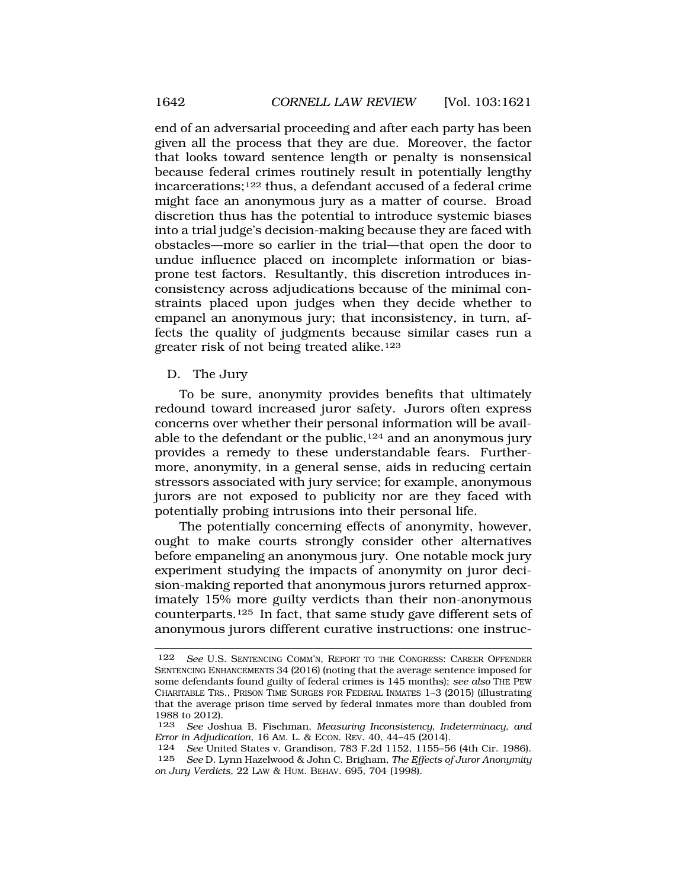end of an adversarial proceeding and after each party has been given all the process that they are due. Moreover, the factor that looks toward sentence length or penalty is nonsensical because federal crimes routinely result in potentially lengthy incarcerations;122 thus, a defendant accused of a federal crime might face an anonymous jury as a matter of course. Broad discretion thus has the potential to introduce systemic biases into a trial judge's decision-making because they are faced with obstacles—more so earlier in the trial—that open the door to undue influence placed on incomplete information or biasprone test factors. Resultantly, this discretion introduces inconsistency across adjudications because of the minimal constraints placed upon judges when they decide whether to empanel an anonymous jury; that inconsistency, in turn, affects the quality of judgments because similar cases run a greater risk of not being treated alike.123

### D. The Jury

To be sure, anonymity provides benefits that ultimately redound toward increased juror safety. Jurors often express concerns over whether their personal information will be available to the defendant or the public,  $124$  and an anonymous jury provides a remedy to these understandable fears. Furthermore, anonymity, in a general sense, aids in reducing certain stressors associated with jury service; for example, anonymous jurors are not exposed to publicity nor are they faced with potentially probing intrusions into their personal life.

The potentially concerning effects of anonymity, however, ought to make courts strongly consider other alternatives before empaneling an anonymous jury. One notable mock jury experiment studying the impacts of anonymity on juror decision-making reported that anonymous jurors returned approximately 15% more guilty verdicts than their non-anonymous counterparts.125 In fact, that same study gave different sets of anonymous jurors different curative instructions: one instruc-

<sup>122</sup> *See* U.S. SENTENCING COMM'N, REPORT TO THE CONGRESS: CAREER OFFENDER SENTENCING ENHANCEMENTS 34 (2016) (noting that the average sentence imposed for some defendants found guilty of federal crimes is 145 months); *see also* THE PEW CHARITABLE TRS., PRISON TIME SURGES FOR FEDERAL INMATES 1–3 (2015) (illustrating that the average prison time served by federal inmates more than doubled from 1988 to 2012).

<sup>123</sup> *See* Joshua B. Fischman, *Measuring Inconsistency, Indeterminacy, and Error in Adjudication*, 16 AM. L. & ECON. REV. 40, 44–45 (2014).

<sup>124</sup> *See* United States v. Grandison, 783 F.2d 1152, 1155–56 (4th Cir. 1986). 125 *See* D. Lynn Hazelwood & John C. Brigham, *The Effects of Juror Anonymity on Jury Verdicts*, 22 LAW & HUM. BEHAV. 695, 704 (1998).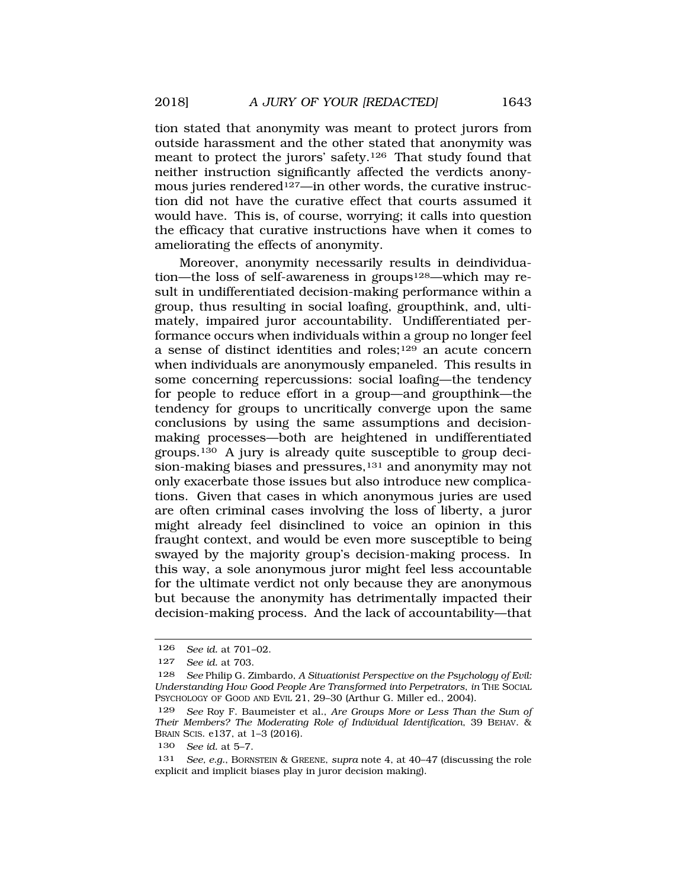tion stated that anonymity was meant to protect jurors from outside harassment and the other stated that anonymity was meant to protect the jurors' safety.126 That study found that neither instruction significantly affected the verdicts anonymous juries rendered<sup>127</sup>—in other words, the curative instruction did not have the curative effect that courts assumed it

would have. This is, of course, worrying; it calls into question the efficacy that curative instructions have when it comes to ameliorating the effects of anonymity.

Moreover, anonymity necessarily results in deindividuation—the loss of self-awareness in groups<sup>128</sup>—which may result in undifferentiated decision-making performance within a group, thus resulting in social loafing, groupthink, and, ultimately, impaired juror accountability. Undifferentiated performance occurs when individuals within a group no longer feel a sense of distinct identities and roles;129 an acute concern when individuals are anonymously empaneled. This results in some concerning repercussions: social loafing—the tendency for people to reduce effort in a group—and groupthink—the tendency for groups to uncritically converge upon the same conclusions by using the same assumptions and decisionmaking processes—both are heightened in undifferentiated groups.130 A jury is already quite susceptible to group decision-making biases and pressures,<sup>131</sup> and anonymity may not only exacerbate those issues but also introduce new complications. Given that cases in which anonymous juries are used are often criminal cases involving the loss of liberty, a juror might already feel disinclined to voice an opinion in this fraught context, and would be even more susceptible to being swayed by the majority group's decision-making process. In this way, a sole anonymous juror might feel less accountable for the ultimate verdict not only because they are anonymous but because the anonymity has detrimentally impacted their decision-making process. And the lack of accountability—that

<sup>126</sup> *See id.* at 701–02.

<sup>127</sup> *See id.* at 703.

<sup>128</sup> *See* Philip G. Zimbardo, *A Situationist Perspective on the Psychology of Evil: Understanding How Good People Are Transformed into Perpetrators*, *in* THE SOCIAL PSYCHOLOGY OF GOOD AND EVIL 21, 29–30 (Arthur G. Miller ed., 2004).

<sup>129</sup> *See* Roy F. Baumeister et al., *Are Groups More or Less Than the Sum of Their Members? The Moderating Role of Individual Identification*, 39 BEHAV. & BRAIN SCIS. e137, at 1–3 (2016).

<sup>130</sup> *See id.* at 5–7.

<sup>131</sup> *See, e.g.*, BORNSTEIN & GREENE, *supra* note 4, at 40–47 (discussing the role explicit and implicit biases play in juror decision making).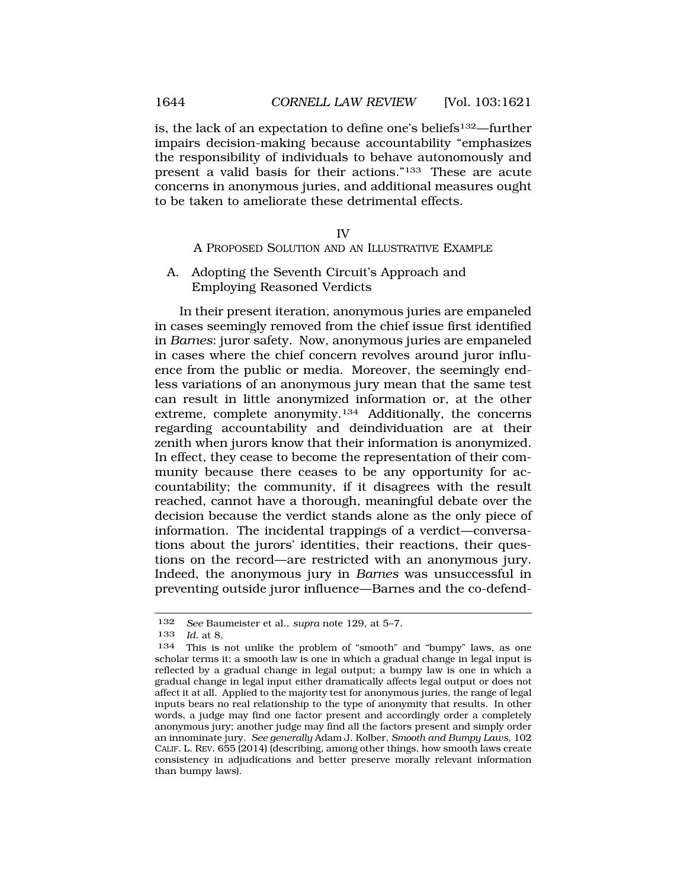is, the lack of an expectation to define one's beliefs132—further impairs decision-making because accountability "emphasizes the responsibility of individuals to behave autonomously and present a valid basis for their actions."133 These are acute concerns in anonymous juries, and additional measures ought to be taken to ameliorate these detrimental effects.

#### IV

A PROPOSED SOLUTION AND AN ILLUSTRATIVE EXAMPLE

A. Adopting the Seventh Circuit's Approach and Employing Reasoned Verdicts

In their present iteration, anonymous juries are empaneled in cases seemingly removed from the chief issue first identified in *Barnes*: juror safety. Now, anonymous juries are empaneled in cases where the chief concern revolves around juror influence from the public or media. Moreover, the seemingly endless variations of an anonymous jury mean that the same test can result in little anonymized information or, at the other extreme, complete anonymity.134 Additionally, the concerns regarding accountability and deindividuation are at their zenith when jurors know that their information is anonymized. In effect, they cease to become the representation of their community because there ceases to be any opportunity for accountability; the community, if it disagrees with the result reached, cannot have a thorough, meaningful debate over the decision because the verdict stands alone as the only piece of information. The incidental trappings of a verdict—conversations about the jurors' identities, their reactions, their questions on the record—are restricted with an anonymous jury. Indeed, the anonymous jury in *Barnes* was unsuccessful in preventing outside juror influence—Barnes and the co-defend-

<sup>132</sup> *See* Baumeister et al., *supra* note 129, at 5–7.

*Id.* at 8.

<sup>134</sup> This is not unlike the problem of "smooth" and "bumpy" laws, as one scholar terms it: a smooth law is one in which a gradual change in legal input is reflected by a gradual change in legal output; a bumpy law is one in which a gradual change in legal input either dramatically affects legal output or does not affect it at all. Applied to the majority test for anonymous juries, the range of legal inputs bears no real relationship to the type of anonymity that results. In other words, a judge may find one factor present and accordingly order a completely anonymous jury; another judge may find all the factors present and simply order an innominate jury. *See generally* Adam J. Kolber, *Smooth and Bumpy Laws*, 102 CALIF. L. REV. 655 (2014) (describing, among other things, how smooth laws create consistency in adjudications and better preserve morally relevant information than bumpy laws).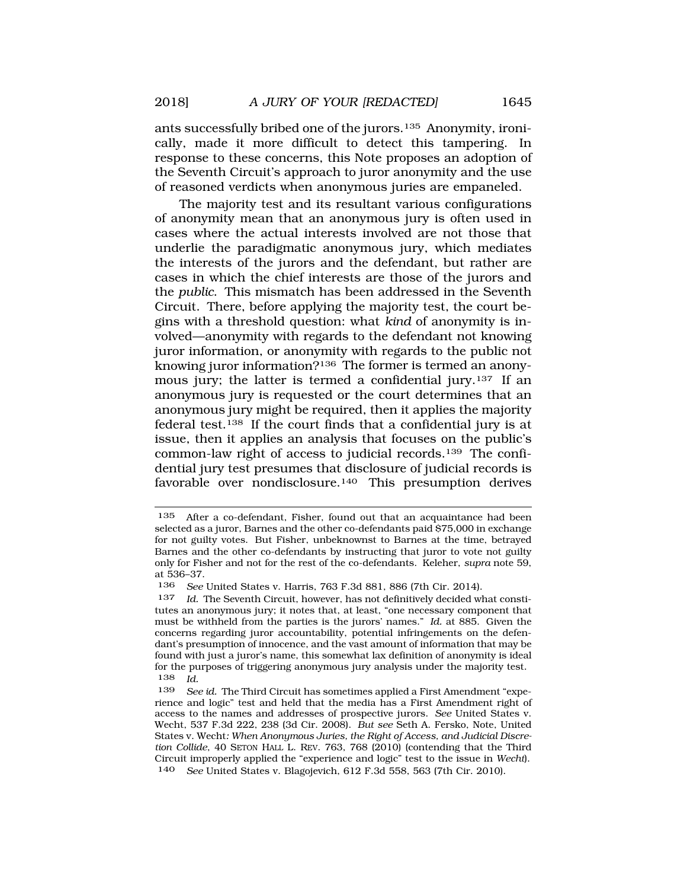ants successfully bribed one of the jurors.135 Anonymity, ironically, made it more difficult to detect this tampering. In response to these concerns, this Note proposes an adoption of the Seventh Circuit's approach to juror anonymity and the use of reasoned verdicts when anonymous juries are empaneled.

The majority test and its resultant various configurations of anonymity mean that an anonymous jury is often used in cases where the actual interests involved are not those that underlie the paradigmatic anonymous jury, which mediates the interests of the jurors and the defendant, but rather are cases in which the chief interests are those of the jurors and the *public*. This mismatch has been addressed in the Seventh Circuit. There, before applying the majority test, the court begins with a threshold question: what *kind* of anonymity is involved—anonymity with regards to the defendant not knowing juror information, or anonymity with regards to the public not knowing juror information?<sup>136</sup> The former is termed an anonymous jury; the latter is termed a confidential jury.<sup>137</sup> If an anonymous jury is requested or the court determines that an anonymous jury might be required, then it applies the majority federal test.138 If the court finds that a confidential jury is at issue, then it applies an analysis that focuses on the public's common-law right of access to judicial records.139 The confidential jury test presumes that disclosure of judicial records is favorable over nondisclosure.140 This presumption derives

<sup>135</sup> After a co-defendant, Fisher, found out that an acquaintance had been selected as a juror, Barnes and the other co-defendants paid \$75,000 in exchange for not guilty votes. But Fisher, unbeknownst to Barnes at the time, betrayed Barnes and the other co-defendants by instructing that juror to vote not guilty only for Fisher and not for the rest of the co-defendants. Keleher, *supra* note 59, at 536–37.

<sup>136</sup> *See* United States v. Harris, 763 F.3d 881, 886 (7th Cir. 2014).

<sup>137</sup> *Id.* The Seventh Circuit, however, has not definitively decided what constitutes an anonymous jury; it notes that, at least, "one necessary component that must be withheld from the parties is the jurors' names." *Id.* at 885. Given the concerns regarding juror accountability, potential infringements on the defendant's presumption of innocence, and the vast amount of information that may be found with just a juror's name, this somewhat lax definition of anonymity is ideal for the purposes of triggering anonymous jury analysis under the majority test. 138 *Id.* 

<sup>139</sup> *See id.* The Third Circuit has sometimes applied a First Amendment "experience and logic" test and held that the media has a First Amendment right of access to the names and addresses of prospective jurors. *See* United States v. Wecht, 537 F.3d 222, 238 (3d Cir. 2008). *But see* Seth A. Fersko, Note, United States v. Wecht*: When Anonymous Juries, the Right of Access, and Judicial Discretion Collide*, 40 SETON HALL L. REV. 763, 768 (2010) (contending that the Third Circuit improperly applied the "experience and logic" test to the issue in *Wecht*). 140 *See* United States v. Blagojevich, 612 F.3d 558, 563 (7th Cir. 2010).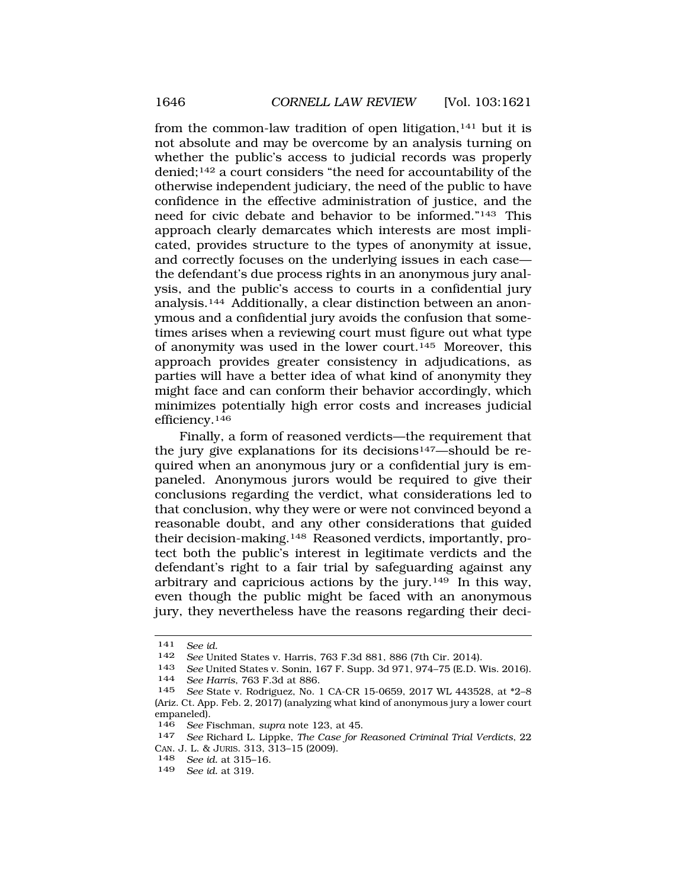from the common-law tradition of open litigation,<sup>141</sup> but it is not absolute and may be overcome by an analysis turning on whether the public's access to judicial records was properly denied;142 a court considers "the need for accountability of the otherwise independent judiciary, the need of the public to have confidence in the effective administration of justice, and the need for civic debate and behavior to be informed."143 This approach clearly demarcates which interests are most implicated, provides structure to the types of anonymity at issue, and correctly focuses on the underlying issues in each case the defendant's due process rights in an anonymous jury analysis, and the public's access to courts in a confidential jury analysis.144 Additionally, a clear distinction between an anonymous and a confidential jury avoids the confusion that sometimes arises when a reviewing court must figure out what type of anonymity was used in the lower court.145 Moreover, this approach provides greater consistency in adjudications, as parties will have a better idea of what kind of anonymity they might face and can conform their behavior accordingly, which minimizes potentially high error costs and increases judicial efficiency.146

Finally, a form of reasoned verdicts—the requirement that the jury give explanations for its decisions<sup>147</sup>—should be required when an anonymous jury or a confidential jury is empaneled. Anonymous jurors would be required to give their conclusions regarding the verdict, what considerations led to that conclusion, why they were or were not convinced beyond a reasonable doubt, and any other considerations that guided their decision-making.148 Reasoned verdicts, importantly, protect both the public's interest in legitimate verdicts and the defendant's right to a fair trial by safeguarding against any arbitrary and capricious actions by the jury.149 In this way, even though the public might be faced with an anonymous jury, they nevertheless have the reasons regarding their deci-

148 *See id.* at 315–16.

<sup>141</sup> *See id.* 

<sup>142</sup> *See* United States v. Harris, 763 F.3d 881, 886 (7th Cir. 2014).

<sup>143</sup>*See* United States v. Sonin, 167 F. Supp. 3d 971, 974–75 (E.D. Wis. 2016). 144 *See Harris*, 763 F.3d at 886.

<sup>145</sup> *See* State v. Rodriguez, No. 1 CA-CR 15-0659, 2017 WL 443528, at \*2–8 (Ariz. Ct. App. Feb. 2, 2017) (analyzing what kind of anonymous jury a lower court empaneled).<br> $146 \text{ Soe F}$ 

<sup>146</sup>*See* Fischman, *supra* note 123, at 45. 147 *See* Richard L. Lippke, *The Case for Reasoned Criminal Trial Verdicts*, 22 CAN. J. L. & JURIS. 313, 313–15 (2009).

<sup>149</sup> *See id.* at 319.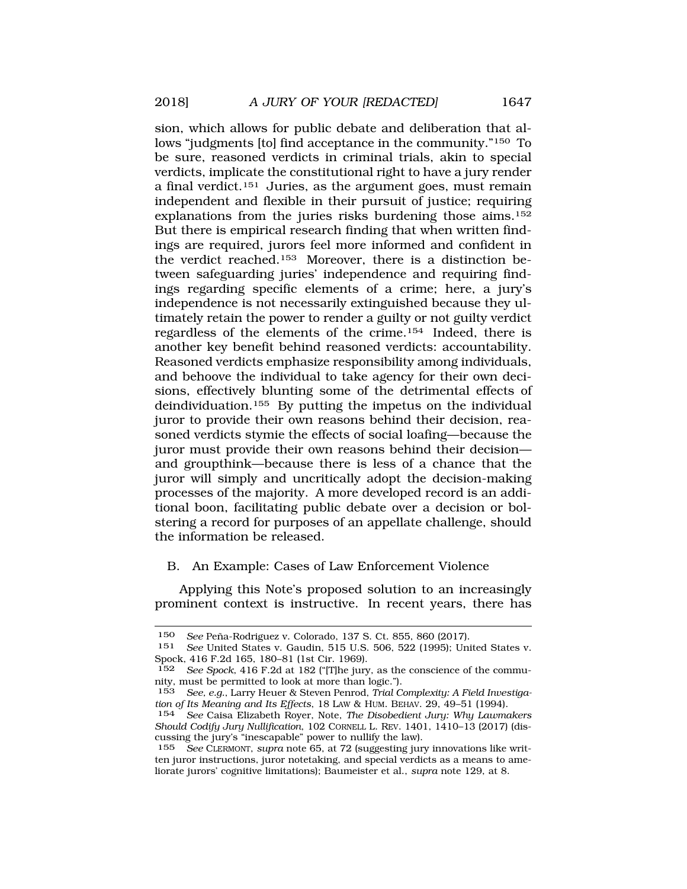sion, which allows for public debate and deliberation that allows "judgments [to] find acceptance in the community."150 To be sure, reasoned verdicts in criminal trials, akin to special verdicts, implicate the constitutional right to have a jury render a final verdict.151 Juries, as the argument goes, must remain independent and flexible in their pursuit of justice; requiring explanations from the juries risks burdening those aims.152 But there is empirical research finding that when written findings are required, jurors feel more informed and confident in the verdict reached.153 Moreover, there is a distinction between safeguarding juries' independence and requiring findings regarding specific elements of a crime; here, a jury's independence is not necessarily extinguished because they ultimately retain the power to render a guilty or not guilty verdict regardless of the elements of the crime.154 Indeed, there is another key benefit behind reasoned verdicts: accountability. Reasoned verdicts emphasize responsibility among individuals, and behoove the individual to take agency for their own decisions, effectively blunting some of the detrimental effects of deindividuation.155 By putting the impetus on the individual juror to provide their own reasons behind their decision, reasoned verdicts stymie the effects of social loafing—because the juror must provide their own reasons behind their decision and groupthink—because there is less of a chance that the juror will simply and uncritically adopt the decision-making processes of the majority. A more developed record is an additional boon, facilitating public debate over a decision or bolstering a record for purposes of an appellate challenge, should the information be released.

## B. An Example: Cases of Law Enforcement Violence

Applying this Note's proposed solution to an increasingly prominent context is instructive. In recent years, there has

<sup>150</sup> *See* Peña-Rodriguez v. Colorado, 137 S. Ct. 855, 860 (2017).

<sup>151</sup> *See* United States v. Gaudin, 515 U.S. 506, 522 (1995); United States v. Spock, 416 F.2d 165, 180–81 (1st Cir. 1969).<br>152 See Spock, 416 F.2d at 182 ("The jury

See Spock, 416 F.2d at 182 ("[T]he jury, as the conscience of the community, must be permitted to look at more than logic.").

<sup>153</sup> *See, e.g.*, Larry Heuer & Steven Penrod, *Trial Complexity: A Field Investigation of Its Meaning and Its Effects*, 18 LAW & HUM. BEHAV. 29, 49–51 (1994).

<sup>154</sup> *See* Caisa Elizabeth Royer, Note, *The Disobedient Jury: Why Lawmakers Should Codify Jury Nullification*, 102 CORNELL L. REV. 1401, 1410–13 (2017) (discussing the jury's "inescapable" power to nullify the law).

<sup>155</sup> *See* CLERMONT, *supra* note 65, at 72 (suggesting jury innovations like written juror instructions, juror notetaking, and special verdicts as a means to ameliorate jurors' cognitive limitations); Baumeister et al., *supra* note 129, at 8.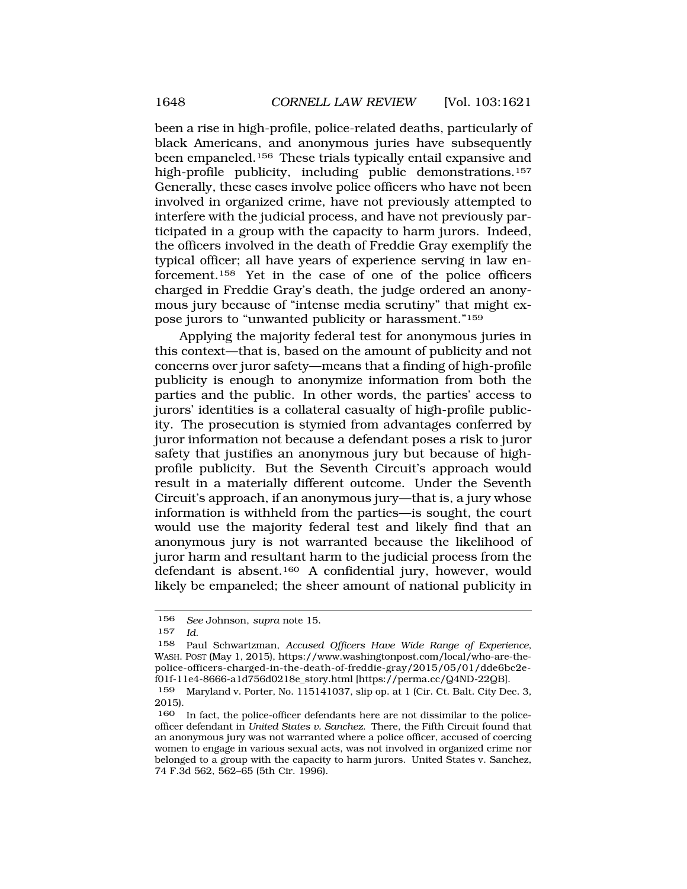been a rise in high-profile, police-related deaths, particularly of black Americans, and anonymous juries have subsequently been empaneled.<sup>156</sup> These trials typically entail expansive and high-profile publicity, including public demonstrations.157 Generally, these cases involve police officers who have not been involved in organized crime, have not previously attempted to interfere with the judicial process, and have not previously participated in a group with the capacity to harm jurors. Indeed, the officers involved in the death of Freddie Gray exemplify the typical officer; all have years of experience serving in law enforcement.158 Yet in the case of one of the police officers charged in Freddie Gray's death, the judge ordered an anonymous jury because of "intense media scrutiny" that might expose jurors to "unwanted publicity or harassment."159

Applying the majority federal test for anonymous juries in this context—that is, based on the amount of publicity and not concerns over juror safety—means that a finding of high-profile publicity is enough to anonymize information from both the parties and the public. In other words, the parties' access to jurors' identities is a collateral casualty of high-profile publicity. The prosecution is stymied from advantages conferred by juror information not because a defendant poses a risk to juror safety that justifies an anonymous jury but because of highprofile publicity. But the Seventh Circuit's approach would result in a materially different outcome. Under the Seventh Circuit's approach, if an anonymous jury—that is, a jury whose information is withheld from the parties—is sought, the court would use the majority federal test and likely find that an anonymous jury is not warranted because the likelihood of juror harm and resultant harm to the judicial process from the defendant is absent.160 A confidential jury, however, would likely be empaneled; the sheer amount of national publicity in

<sup>156</sup> *See* Johnson, *supra* note 15.

<sup>157</sup> *Id.* 

<sup>158</sup> Paul Schwartzman, *Accused Officers Have Wide Range of Experience*, WASH. POST (May 1, 2015), https://www.washingtonpost.com/local/who-are-thepolice-officers-charged-in-the-death-of-freddie-gray/2015/05/01/dde6bc2ef01f-11e4-8666-a1d756d0218e\_story.html [https://perma.cc/Q4ND-22QB].

<sup>159</sup> Maryland v. Porter, No. 115141037, slip op. at 1 (Cir. Ct. Balt. City Dec. 3, 2015).

<sup>160</sup> In fact, the police-officer defendants here are not dissimilar to the policeofficer defendant in *United States v. Sanchez*. There, the Fifth Circuit found that an anonymous jury was not warranted where a police officer, accused of coercing women to engage in various sexual acts, was not involved in organized crime nor belonged to a group with the capacity to harm jurors. United States v. Sanchez, 74 F.3d 562, 562–65 (5th Cir. 1996).